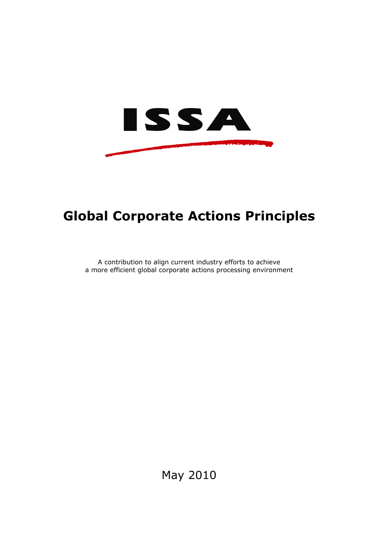

# **Global Corporate Actions Principles**

A contribution to align current industry efforts to achieve a more efficient global corporate actions processing environment

May 2010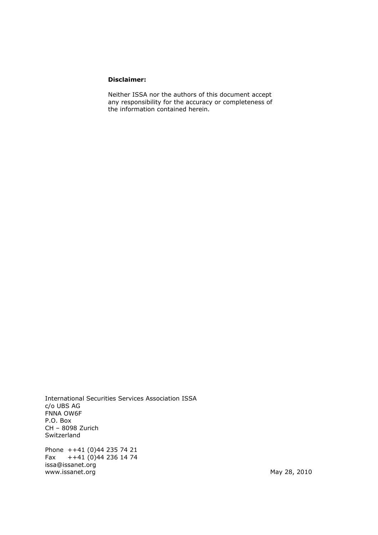#### **Disclaimer:**

Neither ISSA nor the authors of this document accept any responsibility for the accuracy or completeness of the information contained herein.

International Securities Services Association ISSA c/o UBS AG FNNA OW6F P.O. Box CH – 8098 Zurich Switzerland Phone ++41 (0)44 235 74 21<br>Fax ++41 (0)44 236 14 74 Fax ++41 (0)44 236 14 74 issa@issanet.org www.issanet.org May 28, 2010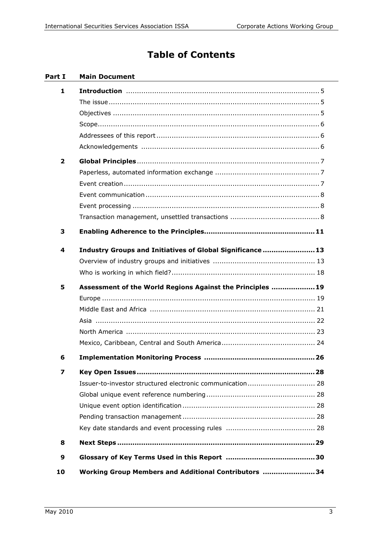## **Table of Contents**

#### **Part I Main Document**

| 1                       |                                                            |
|-------------------------|------------------------------------------------------------|
|                         |                                                            |
|                         |                                                            |
|                         |                                                            |
|                         |                                                            |
|                         |                                                            |
| $\overline{2}$          |                                                            |
|                         |                                                            |
|                         |                                                            |
|                         |                                                            |
|                         |                                                            |
|                         |                                                            |
| 3                       |                                                            |
|                         |                                                            |
| 4                       | Industry Groups and Initiatives of Global Significance 13  |
|                         |                                                            |
|                         |                                                            |
|                         |                                                            |
| 5                       | Assessment of the World Regions Against the Principles  19 |
|                         |                                                            |
|                         |                                                            |
|                         |                                                            |
|                         |                                                            |
|                         |                                                            |
| 6                       |                                                            |
| $\overline{\mathbf{z}}$ |                                                            |
|                         |                                                            |
|                         |                                                            |
|                         |                                                            |
|                         |                                                            |
|                         |                                                            |
| 8                       |                                                            |
| 9                       |                                                            |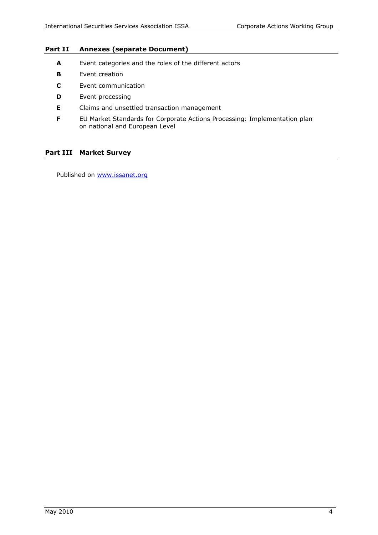#### **Part II Annexes (separate Document)**

- **A** Event categories and the roles of the different actors
- **B** Event creation
- **C** Event communication
- **D** Event processing
- **E** Claims and unsettled transaction management
- **F** EU Market Standards for Corporate Actions Processing: Implementation plan on national and European Level

#### **Part III Market Survey**

Published on [www.issanet.org](http://www.issanet.org/)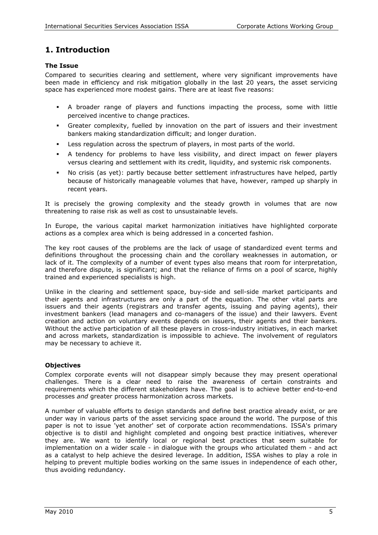## **1. Introduction**

#### **The Issue**

Compared to securities clearing and settlement, where very significant improvements have been made in efficiency and risk mitigation globally in the last 20 years, the asset servicing space has experienced more modest gains. There are at least five reasons:

- A broader range of players and functions impacting the process, some with little perceived incentive to change practices.
- Greater complexity, fuelled by innovation on the part of issuers and their investment bankers making standardization difficult; and longer duration.
- Less regulation across the spectrum of players, in most parts of the world.
- A tendency for problems to have less visibility, and direct impact on fewer players versus clearing and settlement with its credit, liquidity, and systemic risk components.
- No crisis (as yet): partly because better settlement infrastructures have helped, partly because of historically manageable volumes that have, however, ramped up sharply in recent years.

It is precisely the growing complexity and the steady growth in volumes that are now threatening to raise risk as well as cost to unsustainable levels.

In Europe, the various capital market harmonization initiatives have highlighted corporate actions as a complex area which is being addressed in a concerted fashion.

The key root causes of the problems are the lack of usage of standardized event terms and definitions throughout the processing chain and the corollary weaknesses in automation, or lack of it. The complexity of a number of event types also means that room for interpretation, and therefore dispute, is significant; and that the reliance of firms on a pool of scarce, highly trained and experienced specialists is high.

Unlike in the clearing and settlement space, buy-side and sell-side market participants and their agents and infrastructures are only a part of the equation. The other vital parts are issuers and their agents (registrars and transfer agents, issuing and paying agents), their investment bankers (lead managers and co-managers of the issue) and their lawyers. Event creation and action on voluntary events depends on issuers, their agents and their bankers. Without the active participation of all these players in cross-industry initiatives, in each market and across markets, standardization is impossible to achieve. The involvement of regulators may be necessary to achieve it.

#### **Objectives**

Complex corporate events will not disappear simply because they may present operational challenges. There is a clear need to raise the awareness of certain constraints and requirements which the different stakeholders have. The goal is to achieve better end-to-end processes *and* greater process harmonization across markets.

A number of valuable efforts to design standards and define best practice already exist, or are under way in various parts of the asset servicing space around the world. The purpose of this paper is not to issue 'yet another' set of corporate action recommendations. ISSA's primary objective is to distil and highlight completed and ongoing best practice initiatives, wherever they are. We want to identify local or regional best practices that seem suitable for implementation on a wider scale - in dialogue with the groups who articulated them - and act as a catalyst to help achieve the desired leverage. In addition, ISSA wishes to play a role in helping to prevent multiple bodies working on the same issues in independence of each other, thus avoiding redundancy.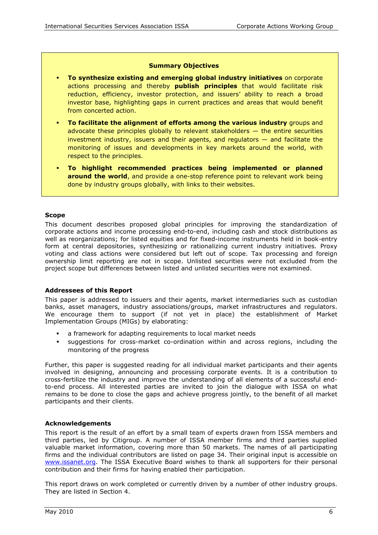#### **Summary Objectives**

- **To synthesize existing and emerging global industry initiatives** on corporate actions processing and thereby **publish principles** that would facilitate risk reduction, efficiency, investor protection, and issuers' ability to reach a broad investor base, highlighting gaps in current practices and areas that would benefit from concerted action.
- **To facilitate the alignment of efforts among the various industry** groups and advocate these principles globally to relevant stakeholders — the entire securities investment industry, issuers and their agents, and regulators — and facilitate the monitoring of issues and developments in key markets around the world, with respect to the principles.
- **To highlight recommended practices being implemented or planned around the world**, and provide a one-stop reference point to relevant work being done by industry groups globally, with links to their websites.

#### **Scope**

This document describes proposed global principles for improving the standardization of corporate actions and income processing end-to-end, including cash and stock distributions as well as reorganizations; for listed equities and for fixed-income instruments held in book-entry form at central depositories, synthesizing or rationalizing current industry initiatives. Proxy voting and class actions were considered but left out of scope. Tax processing and foreign ownership limit reporting are not in scope. Unlisted securities were not excluded from the project scope but differences between listed and unlisted securities were not examined.

#### **Addressees of this Report**

This paper is addressed to issuers and their agents, market intermediaries such as custodian banks, asset managers, industry associations/groups, market infrastructures and regulators. We encourage them to support (if not yet in place) the establishment of Market Implementation Groups (MIGs) by elaborating:

- a framework for adapting requirements to local market needs
- suggestions for cross-market co-ordination within and across regions, including the monitoring of the progress

Further, this paper is suggested reading for all individual market participants and their agents involved in designing, announcing and processing corporate events. It is a contribution to cross-fertilize the industry and improve the understanding of all elements of a successful endto-end process. All interested parties are invited to join the dialogue with ISSA on what remains to be done to close the gaps and achieve progress jointly, to the benefit of all market participants and their clients.

#### **Acknowledgements**

This report is the result of an effort by a small team of experts drawn from ISSA members and third parties, led by Citigroup. A number of ISSA member firms and third parties supplied valuable market information, covering more than 50 markets. The names of all participating firms and the individual contributors are listed on page 34. Their original input is accessible on [www.issanet.org](http://www.issanet.org/). The ISSA Executive Board wishes to thank all supporters for their personal contribution and their firms for having enabled their participation.

This report draws on work completed or currently driven by a number of other industry groups. They are listed in Section 4.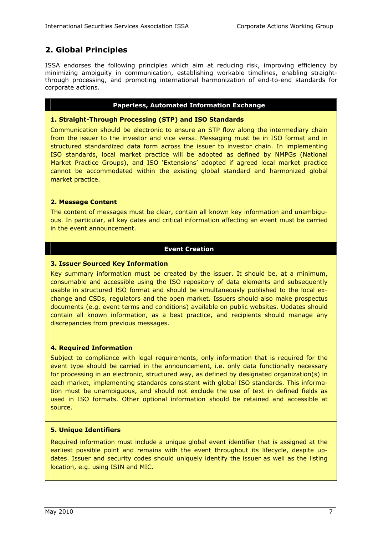## **2. Global Principles**

ISSA endorses the following principles which aim at reducing risk, improving efficiency by minimizing ambiguity in communication, establishing workable timelines, enabling straightthrough processing, and promoting international harmonization of end-to-end standards for corporate actions.

#### **Paperless, Automated Information Exchange**

#### **1. Straight-Through Processing (STP) and ISO Standards**

Communication should be electronic to ensure an STP flow along the intermediary chain from the issuer to the investor and vice versa. Messaging must be in ISO format and in structured standardized data form across the issuer to investor chain. In implementing ISO standards, local market practice will be adopted as defined by NMPGs (National Market Practice Groups), and ISO 'Extensions' adopted if agreed local market practice cannot be accommodated within the existing global standard and harmonized global market practice.

#### **2. Message Content**

The content of messages must be clear, contain all known key information and unambiguous. In particular, all key dates and critical information affecting an event must be carried in the event announcement.

#### **Event Creation**

#### **3. Issuer Sourced Key Information**

Key summary information must be created by the issuer. It should be, at a minimum, consumable and accessible using the ISO repository of data elements and subsequently usable in structured ISO format and should be simultaneously published to the local exchange and CSDs, regulators and the open market. Issuers should also make prospectus documents (e.g. event terms and conditions) available on public websites. Updates should contain all known information, as a best practice, and recipients should manage any discrepancies from previous messages.

#### **4. Required Information**

Subject to compliance with legal requirements, only information that is required for the event type should be carried in the announcement, i.e. only data functionally necessary for processing in an electronic, structured way, as defined by designated organization(s) in each market, implementing standards consistent with global ISO standards. This information must be unambiguous, and should not exclude the use of text in defined fields as used in ISO formats. Other optional information should be retained and accessible at source.

#### **5. Unique Identifiers**

Required information must include a unique global event identifier that is assigned at the earliest possible point and remains with the event throughout its lifecycle, despite updates. Issuer and security codes should uniquely identify the issuer as well as the listing location, e.g. using ISIN and MIC.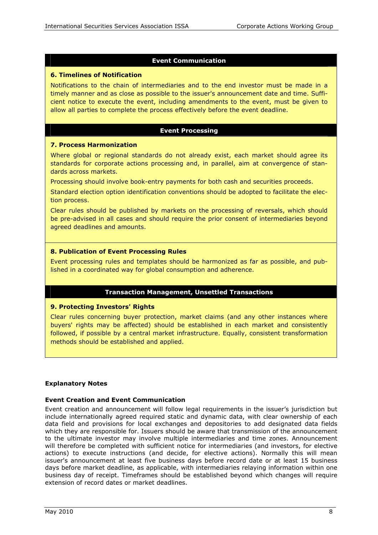#### **Event Communication**

#### **6. Timelines of Notification**

Notifications to the chain of intermediaries and to the end investor must be made in a timely manner and as close as possible to the issuer's announcement date and time. Sufficient notice to execute the event, including amendments to the event, must be given to allow all parties to complete the process effectively before the event deadline.

#### **Event Processing**

#### **7. Process Harmonization**

Where global or regional standards do not already exist, each market should agree its standards for corporate actions processing and, in parallel, aim at convergence of standards across markets.

Processing should involve book-entry payments for both cash and securities proceeds.

Standard election option identification conventions should be adopted to facilitate the election process.

Clear rules should be published by markets on the processing of reversals, which should be pre-advised in all cases and should require the prior consent of intermediaries beyond agreed deadlines and amounts.

#### **8. Publication of Event Processing Rules**

Event processing rules and templates should be harmonized as far as possible, and published in a coordinated way for global consumption and adherence.

#### **Transaction Management, Unsettled Transactions**

#### **9. Protecting Investors' Rights**

Clear rules concerning buyer protection, market claims (and any other instances where buyers' rights may be affected) should be established in each market and consistently followed, if possible by a central market infrastructure. Equally, consistent transformation methods should be established and applied.

#### **Explanatory Notes**

#### **Event Creation and Event Communication**

Event creation and announcement will follow legal requirements in the issuer's jurisdiction but include internationally agreed required static and dynamic data, with clear ownership of each data field and provisions for local exchanges and depositories to add designated data fields which they are responsible for. Issuers should be aware that transmission of the announcement to the ultimate investor may involve multiple intermediaries and time zones. Announcement will therefore be completed with sufficient notice for intermediaries (and investors, for elective actions) to execute instructions (and decide, for elective actions). Normally this will mean issuer's announcement at least five business days before record date or at least 15 business days before market deadline, as applicable, with intermediaries relaying information within one business day of receipt. Timeframes should be established beyond which changes will require extension of record dates or market deadlines.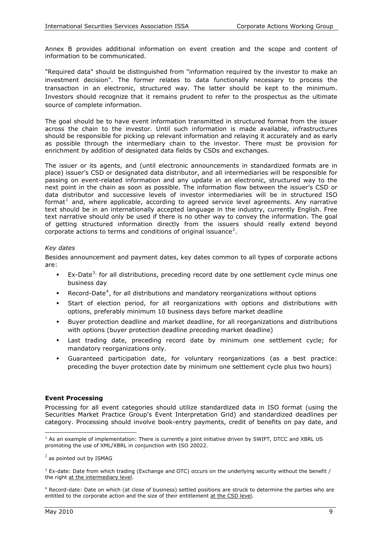Annex B provides additional information on event creation and the scope and content of information to be communicated.

"Required data" should be distinguished from "information required by the investor to make an investment decision". The former relates to data functionally necessary to process the transaction in an electronic, structured way. The latter should be kept to the minimum. Investors should recognize that it remains prudent to refer to the prospectus as the ultimate source of complete information.

The goal should be to have event information transmitted in structured format from the issuer across the chain to the investor. Until such information is made available, infrastructures should be responsible for picking up relevant information and relaying it accurately and as early as possible through the intermediary chain to the investor. There must be provision for enrichment by addition of designated data fields by CSDs and exchanges.

The issuer or its agents, and (until electronic announcements in standardized formats are in place) issuer's CSD or designated data distributor, and all intermediaries will be responsible for passing on event-related information and any update in an electronic, structured way to the next point in the chain as soon as possible. The information flow between the issuer's CSD or data distributor and successive levels of investor intermediaries will be in structured ISO format<sup>[1](#page-8-0)</sup> and, where applicable, according to agreed service level agreements. Any narrative text should be in an internationally accepted language in the industry, currently English. Free text narrative should only be used if there is no other way to convey the information. The goal of getting structured information directly from the issuers should really extend beyond corporate actions to terms and conditions of original issuance<sup>[2](#page-8-1)</sup>.

#### *Key dates*

Besides announcement and payment dates, key dates common to all types of corporate actions are:

- Ex-Date<sup>[3](#page-8-2),</sup> for all distributions, preceding record date by one settlement cycle minus one business day
- Record-Date<sup>[4](#page-8-3)</sup>, for all distributions and mandatory reorganizations without options
- Start of election period, for all reorganizations with options and distributions with options, preferably minimum 10 business days before market deadline
- Buyer protection deadline and market deadline, for all reorganizations and distributions with options (buyer protection deadline preceding market deadline)
- Last trading date, preceding record date by minimum one settlement cycle; for mandatory reorganizations only.
- Guaranteed participation date, for voluntary reorganizations (as a best practice: preceding the buyer protection date by minimum one settlement cycle plus two hours)

#### **Event Processing**

Processing for all event categories should utilize standardized data in ISO format (using the Securities Market Practice Group's Event Interpretation Grid) and standardized deadlines per category. Processing should involve book-entry payments, credit of benefits on pay date, and

<span id="page-8-0"></span> $\overline{a}$ <sup>1</sup> As an example of implementation: There is currently a joint initiative driven by SWIFT, DTCC and XBRL US promoting the use of XML/XBRL in conjunction with ISO 20022.

<span id="page-8-1"></span> $<sup>2</sup>$  as pointed out by ISMAG</sup>

<span id="page-8-2"></span> $3$  Ex-date: Date from which trading (Exchange and OTC) occurs on the underlying security without the benefit / the right at the intermediary level.

<span id="page-8-3"></span><sup>4</sup> Record-date: Date on which (at close of business) settled positions are struck to determine the parties who are entitled to the corporate action and the size of their entitlement at the CSD level.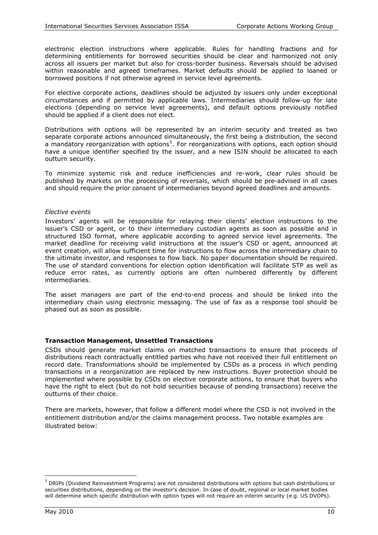electronic election instructions where applicable. Rules for handling fractions and for determining entitlements for borrowed securities should be clear and harmonized not only across all issuers per market but also for cross-border business. Reversals should be advised within reasonable and agreed timeframes. Market defaults should be applied to loaned or borrowed positions if not otherwise agreed in service level agreements.

For elective corporate actions, deadlines should be adjusted by issuers only under exceptional circumstances and if permitted by applicable laws. Intermediaries should follow-up for late elections (depending on service level agreements), and default options previously notified should be applied if a client does not elect.

Distributions with options will be represented by an interim security and treated as two separate corporate actions announced simultaneously, the first being a distribution, the second a mandatory reorganization with options<sup>[5](#page-9-0)</sup>. For reorganizations with options, each option should have a unique identifier specified by the issuer, and a new ISIN should be allocated to each outturn security.

To minimize systemic risk and reduce inefficiencies and re-work, clear rules should be published by markets on the processing of reversals, which should be pre-advised in all cases and should require the prior consent of intermediaries beyond agreed deadlines and amounts.

#### *Elective events*

Investors' agents will be responsible for relaying their clients' election instructions to the issuer's CSD or agent, or to their intermediary custodian agents as soon as possible and in structured ISO format, where applicable according to agreed service level agreements. The market deadline for receiving valid instructions at the issuer's CSD or agent, announced at event creation, will allow sufficient time for instructions to flow across the intermediary chain to the ultimate investor, and responses to flow back. No paper documentation should be required. The use of standard conventions for election option identification will facilitate STP as well as reduce error rates, as currently options are often numbered differently by different intermediaries.

The asset managers are part of the end-to-end process and should be linked into the intermediary chain using electronic messaging. The use of fax as a response tool should be phased out as soon as possible.

#### **Transaction Management, Unsettled Transactions**

CSDs should generate market claims on matched transactions to ensure that proceeds of distributions reach contractually entitled parties who have not received their full entitlement on record date. Transformations should be implemented by CSDs as a process in which pending transactions in a reorganization are replaced by new instructions. Buyer protection should be implemented where possible by CSDs on elective corporate actions, to ensure that buyers who have the right to elect (but do not hold securities because of pending transactions) receive the outturns of their choice.

There are markets, however, that follow a different model where the CSD is not involved in the entitlement distribution and/or the claims management process. Two notable examples are illustrated below:

 $\overline{a}$ 

<span id="page-9-0"></span> $<sup>5</sup>$  DRIPs (Dividend Reinvestment Programs) are not considered distributions with options but cash distributions or</sup> securities distributions, depending on the investor's decision. In case of doubt, regional or local market bodies will determine which specific distribution with option types will not require an interim security (e.g. US DVOPs).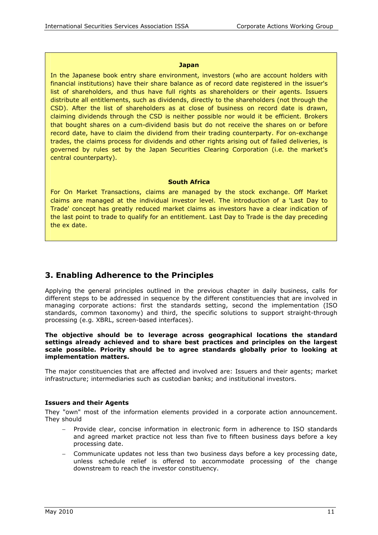#### **Japan**

In the Japanese book entry share environment, investors (who are account holders with financial institutions) have their share balance as of record date registered in the issuer's list of shareholders, and thus have full rights as shareholders or their agents. Issuers distribute all entitlements, such as dividends, directly to the shareholders (not through the CSD). After the list of shareholders as at close of business on record date is drawn, claiming dividends through the CSD is neither possible nor would it be efficient. Brokers that bought shares on a cum-dividend basis but do not receive the shares on or before record date, have to claim the dividend from their trading counterparty. For on-exchange trades, the claims process for dividends and other rights arising out of failed deliveries, is governed by rules set by the Japan Securities Clearing Corporation (i.e. the market's central counterparty).

#### **South Africa**

For On Market Transactions, claims are managed by the stock exchange. Off Market claims are managed at the individual investor level. The introduction of a 'Last Day to Trade' concept has greatly reduced market claims as investors have a clear indication of the last point to trade to qualify for an entitlement. Last Day to Trade is the day preceding the ex date.

## **3. Enabling Adherence to the Principles**

Applying the general principles outlined in the previous chapter in daily business, calls for different steps to be addressed in sequence by the different constituencies that are involved in managing corporate actions: first the standards setting, second the implementation (ISO standards, common taxonomy) and third, the specific solutions to support straight-through processing (e.g. XBRL, screen-based interfaces).

#### **The objective should be to leverage across geographical locations the standard settings already achieved and to share best practices and principles on the largest scale possible. Priority should be to agree standards globally prior to looking at implementation matters.**

The major constituencies that are affected and involved are: Issuers and their agents; market infrastructure; intermediaries such as custodian banks; and institutional investors.

#### **Issuers and their Agents**

They "own" most of the information elements provided in a corporate action announcement. They should

- Provide clear, concise information in electronic form in adherence to ISO standards and agreed market practice not less than five to fifteen business days before a key processing date.
- − Communicate updates not less than two business days before a key processing date, unless schedule relief is offered to accommodate processing of the change downstream to reach the investor constituency.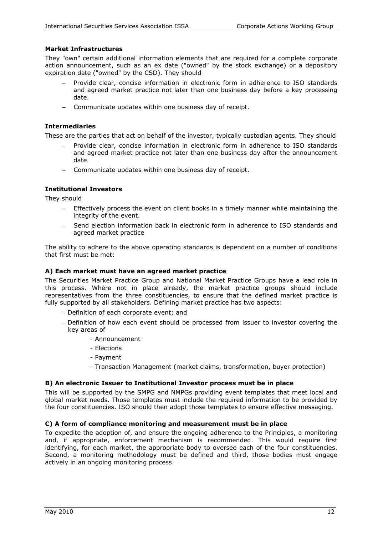#### **Market Infrastructures**

They "own" certain additional information elements that are required for a complete corporate action announcement, such as an ex date ("owned" by the stock exchange) or a depository expiration date ("owned" by the CSD). They should

- − Provide clear, concise information in electronic form in adherence to ISO standards and agreed market practice not later than one business day before a key processing date.
- − Communicate updates within one business day of receipt.

#### **Intermediaries**

These are the parties that act on behalf of the investor, typically custodian agents. They should

- − Provide clear, concise information in electronic form in adherence to ISO standards and agreed market practice not later than one business day after the announcement date.
- − Communicate updates within one business day of receipt.

#### **Institutional Investors**

They should

- Effectively process the event on client books in a timely manner while maintaining the integrity of the event.
- Send election information back in electronic form in adherence to ISO standards and agreed market practice

The ability to adhere to the above operating standards is dependent on a number of conditions that first must be met:

#### **A) Each market must have an agreed market practice**

The Securities Market Practice Group and National Market Practice Groups have a lead role in this process. Where not in place already, the market practice groups should include representatives from the three constituencies, to ensure that the defined market practice is fully supported by all stakeholders. Defining market practice has two aspects:

- − Definition of each corporate event; and
- − Definition of how each event should be processed from issuer to investor covering the key areas of
	- Announcement
	- Elections
	- Payment
	- Transaction Management (market claims, transformation, buyer protection)

#### **B) An electronic Issuer to Institutional Investor process must be in place**

This will be supported by the SMPG and NMPGs providing event templates that meet local and global market needs. Those templates must include the required information to be provided by the four constituencies. ISO should then adopt those templates to ensure effective messaging.

#### **C) A form of compliance monitoring and measurement must be in place**

To expedite the adoption of, and ensure the ongoing adherence to the Principles, a monitoring and, if appropriate, enforcement mechanism is recommended. This would require first identifying, for each market, the appropriate body to oversee each of the four constituencies. Second, a monitoring methodology must be defined and third, those bodies must engage actively in an ongoing monitoring process.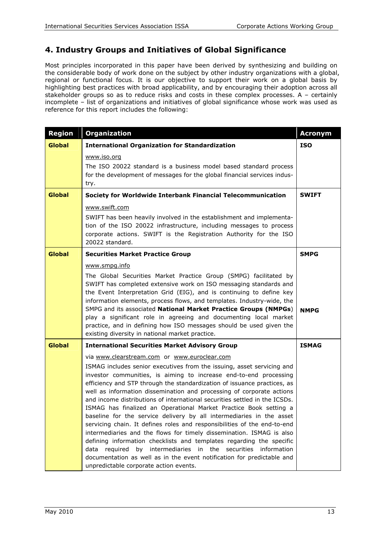## **4. Industry Groups and Initiatives of Global Significance**

Most principles incorporated in this paper have been derived by synthesizing and building on the considerable body of work done on the subject by other industry organizations with a global, regional or functional focus. It is our objective to support their work on a global basis by highlighting best practices with broad applicability, and by encouraging their adoption across all stakeholder groups so as to reduce risks and costs in these complex processes. A – certainly incomplete – list of organizations and initiatives of global significance whose work was used as reference for this report includes the following:

| <b>Region</b>                                                          | <b>Organization</b>                                                                                                                                                                                                                                                                                                                                                                                                                                                                                                                                                                                                                                                                                                                                                                                                                                                                                                                                                                             | <b>Acronym</b> |
|------------------------------------------------------------------------|-------------------------------------------------------------------------------------------------------------------------------------------------------------------------------------------------------------------------------------------------------------------------------------------------------------------------------------------------------------------------------------------------------------------------------------------------------------------------------------------------------------------------------------------------------------------------------------------------------------------------------------------------------------------------------------------------------------------------------------------------------------------------------------------------------------------------------------------------------------------------------------------------------------------------------------------------------------------------------------------------|----------------|
| <b>Global</b>                                                          | <b>International Organization for Standardization</b>                                                                                                                                                                                                                                                                                                                                                                                                                                                                                                                                                                                                                                                                                                                                                                                                                                                                                                                                           | <b>ISO</b>     |
|                                                                        | www.iso.org<br>The ISO 20022 standard is a business model based standard process<br>for the development of messages for the global financial services indus-<br>try.                                                                                                                                                                                                                                                                                                                                                                                                                                                                                                                                                                                                                                                                                                                                                                                                                            |                |
| <b>Global</b>                                                          | Society for Worldwide Interbank Financial Telecommunication                                                                                                                                                                                                                                                                                                                                                                                                                                                                                                                                                                                                                                                                                                                                                                                                                                                                                                                                     | <b>SWIFT</b>   |
|                                                                        | www.swift.com<br>SWIFT has been heavily involved in the establishment and implementa-<br>tion of the ISO 20022 infrastructure, including messages to process<br>corporate actions. SWIFT is the Registration Authority for the ISO<br>20022 standard.                                                                                                                                                                                                                                                                                                                                                                                                                                                                                                                                                                                                                                                                                                                                           |                |
| <b>Global</b>                                                          | <b>Securities Market Practice Group</b>                                                                                                                                                                                                                                                                                                                                                                                                                                                                                                                                                                                                                                                                                                                                                                                                                                                                                                                                                         | <b>SMPG</b>    |
|                                                                        | www.smpg.info<br>The Global Securities Market Practice Group (SMPG) facilitated by<br>SWIFT has completed extensive work on ISO messaging standards and<br>the Event Interpretation Grid (EIG), and is continuing to define key<br>information elements, process flows, and templates. Industry-wide, the<br>SMPG and its associated National Market Practice Groups (NMPGs)<br>play a significant role in agreeing and documenting local market<br>practice, and in defining how ISO messages should be used given the<br>existing diversity in national market practice.                                                                                                                                                                                                                                                                                                                                                                                                                      | <b>NMPG</b>    |
| <b>Global</b><br><b>International Securities Market Advisory Group</b> |                                                                                                                                                                                                                                                                                                                                                                                                                                                                                                                                                                                                                                                                                                                                                                                                                                                                                                                                                                                                 | <b>ISMAG</b>   |
|                                                                        | via www.clearstream.com or www.euroclear.com<br>ISMAG includes senior executives from the issuing, asset servicing and<br>investor communities, is aiming to increase end-to-end processing<br>efficiency and STP through the standardization of issuance practices, as<br>well as information dissemination and processing of corporate actions<br>and income distributions of international securities settled in the ICSDs.<br>ISMAG has finalized an Operational Market Practice Book setting a<br>baseline for the service delivery by all intermediaries in the asset<br>servicing chain. It defines roles and responsibilities of the end-to-end<br>intermediaries and the flows for timely dissemination. ISMAG is also<br>defining information checklists and templates regarding the specific<br>data required by intermediaries in the<br>securities information<br>documentation as well as in the event notification for predictable and<br>unpredictable corporate action events. |                |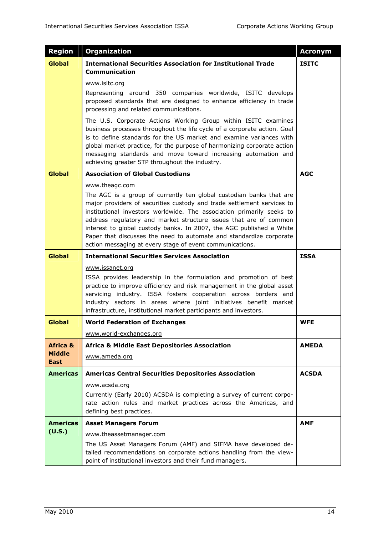| <b>Region</b>                                | <b>Organization</b>                                                                                                                                                                                                                                                                                                                                                                                                                                                                                                      | <b>Acronym</b> |
|----------------------------------------------|--------------------------------------------------------------------------------------------------------------------------------------------------------------------------------------------------------------------------------------------------------------------------------------------------------------------------------------------------------------------------------------------------------------------------------------------------------------------------------------------------------------------------|----------------|
| <b>Global</b>                                | <b>International Securities Association for Institutional Trade</b><br><b>Communication</b>                                                                                                                                                                                                                                                                                                                                                                                                                              | <b>ISITC</b>   |
|                                              | www.isitc.org<br>Representing around 350 companies worldwide, ISITC develops<br>proposed standards that are designed to enhance efficiency in trade<br>processing and related communications.                                                                                                                                                                                                                                                                                                                            |                |
|                                              | The U.S. Corporate Actions Working Group within ISITC examines<br>business processes throughout the life cycle of a corporate action. Goal<br>is to define standards for the US market and examine variances with<br>global market practice, for the purpose of harmonizing corporate action<br>messaging standards and move toward increasing automation and<br>achieving greater STP throughout the industry.                                                                                                          |                |
| Global                                       | <b>Association of Global Custodians</b>                                                                                                                                                                                                                                                                                                                                                                                                                                                                                  | <b>AGC</b>     |
|                                              | www.theagc.com<br>The AGC is a group of currently ten global custodian banks that are<br>major providers of securities custody and trade settlement services to<br>institutional investors worldwide. The association primarily seeks to<br>address regulatory and market structure issues that are of common<br>interest to global custody banks. In 2007, the AGC published a White<br>Paper that discusses the need to automate and standardize corporate<br>action messaging at every stage of event communications. |                |
| <b>Global</b>                                | <b>International Securities Services Association</b>                                                                                                                                                                                                                                                                                                                                                                                                                                                                     | <b>ISSA</b>    |
|                                              | www.issanet.org<br>ISSA provides leadership in the formulation and promotion of best<br>practice to improve efficiency and risk management in the global asset<br>servicing industry. ISSA fosters cooperation across borders and<br>industry sectors in areas where joint initiatives benefit market<br>infrastructure, institutional market participants and investors.                                                                                                                                                |                |
| Global                                       | <b>World Federation of Exchanges</b>                                                                                                                                                                                                                                                                                                                                                                                                                                                                                     | <b>WFE</b>     |
|                                              | www.world-exchanges.org                                                                                                                                                                                                                                                                                                                                                                                                                                                                                                  |                |
| <b>Africa &amp;</b><br><b>Middle</b><br>East | <b>Africa &amp; Middle East Depositories Association</b><br>www.ameda.org                                                                                                                                                                                                                                                                                                                                                                                                                                                | <b>AMEDA</b>   |
| <b>Americas</b>                              | <b>Americas Central Securities Depositories Association</b>                                                                                                                                                                                                                                                                                                                                                                                                                                                              | <b>ACSDA</b>   |
|                                              | www.acsda.org<br>Currently (Early 2010) ACSDA is completing a survey of current corpo-<br>rate action rules and market practices across the Americas, and<br>defining best practices.                                                                                                                                                                                                                                                                                                                                    |                |
| <b>Americas</b>                              | <b>Asset Managers Forum</b>                                                                                                                                                                                                                                                                                                                                                                                                                                                                                              | <b>AMF</b>     |
| (U.S.)                                       | www.theassetmanager.com<br>The US Asset Managers Forum (AMF) and SIFMA have developed de-<br>tailed recommendations on corporate actions handling from the view-<br>point of institutional investors and their fund managers.                                                                                                                                                                                                                                                                                            |                |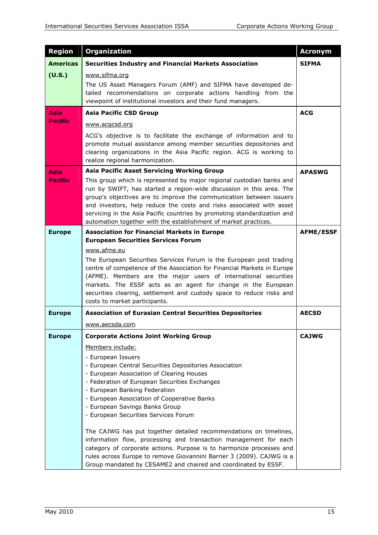| <b>Region</b>   | <b>Organization</b>                                                                                                                                                                                                                                                                                                                                                                                                                                                                                                                                                       | <b>Acronym</b>   |
|-----------------|---------------------------------------------------------------------------------------------------------------------------------------------------------------------------------------------------------------------------------------------------------------------------------------------------------------------------------------------------------------------------------------------------------------------------------------------------------------------------------------------------------------------------------------------------------------------------|------------------|
| <b>Americas</b> | <b>Securities Industry and Financial Markets Association</b>                                                                                                                                                                                                                                                                                                                                                                                                                                                                                                              | <b>SIFMA</b>     |
| (U.S.)          | www.sifma.org<br>The US Asset Managers Forum (AMF) and SIFMA have developed de-<br>tailed recommendations on corporate actions handling from the<br>viewpoint of institutional investors and their fund managers.                                                                                                                                                                                                                                                                                                                                                         |                  |
| Asia            | <b>Asia Pacific CSD Group</b>                                                                                                                                                                                                                                                                                                                                                                                                                                                                                                                                             | <b>ACG</b>       |
| <b>Pacific</b>  | www.acgcsd.org                                                                                                                                                                                                                                                                                                                                                                                                                                                                                                                                                            |                  |
|                 | ACG's objective is to facilitate the exchange of information and to<br>promote mutual assistance among member securities depositories and<br>clearing organizations in the Asia Pacific region. ACG is working to<br>realize regional harmonization.                                                                                                                                                                                                                                                                                                                      |                  |
| <b>Asia</b>     | <b>Asia Pacific Asset Servicing Working Group</b>                                                                                                                                                                                                                                                                                                                                                                                                                                                                                                                         | <b>APASWG</b>    |
| <b>Pacific</b>  | This group which is represented by major regional custodian banks and<br>run by SWIFT, has started a region-wide discussion in this area. The<br>group's objectives are to improve the communication between issuers<br>and investors, help reduce the costs and risks associated with asset<br>servicing in the Asia Pacific countries by promoting standardization and<br>automation together with the establishment of market practices.                                                                                                                               |                  |
| <b>Europe</b>   | <b>Association for Financial Markets in Europe</b>                                                                                                                                                                                                                                                                                                                                                                                                                                                                                                                        | <b>AFME/ESSF</b> |
|                 | <b>European Securities Services Forum</b>                                                                                                                                                                                                                                                                                                                                                                                                                                                                                                                                 |                  |
|                 | www.afme.eu<br>The European Securities Services Forum is the European post trading<br>centre of competence of the Association for Financial Markets in Europe<br>(AFME). Members are the major users of international securities<br>markets. The ESSF acts as an agent for change in the European<br>securities clearing, settlement and custody space to reduce risks and<br>costs to market participants.                                                                                                                                                               |                  |
| <b>Europe</b>   | <b>Association of Eurasian Central Securities Depositories</b>                                                                                                                                                                                                                                                                                                                                                                                                                                                                                                            | <b>AECSD</b>     |
|                 | www.aecsda.com                                                                                                                                                                                                                                                                                                                                                                                                                                                                                                                                                            |                  |
| <b>Europe</b>   | <b>Corporate Actions Joint Working Group</b>                                                                                                                                                                                                                                                                                                                                                                                                                                                                                                                              | <b>CAJWG</b>     |
|                 | Members include:<br>- European Issuers<br>- European Central Securities Depositories Association<br>- European Association of Clearing Houses<br>- Federation of European Securities Exchanges<br>- European Banking Federation<br>- European Association of Cooperative Banks<br>- European Savings Banks Group<br>- European Securities Services Forum<br>The CAJWG has put together detailed recommendations on timelines,<br>information flow, processing and transaction management for each<br>category of corporate actions. Purpose is to harmonize processes and |                  |
|                 | rules across Europe to remove Giovannini Barrier 3 (2009). CAJWG is a<br>Group mandated by CESAME2 and chaired and coordinated by ESSF.                                                                                                                                                                                                                                                                                                                                                                                                                                   |                  |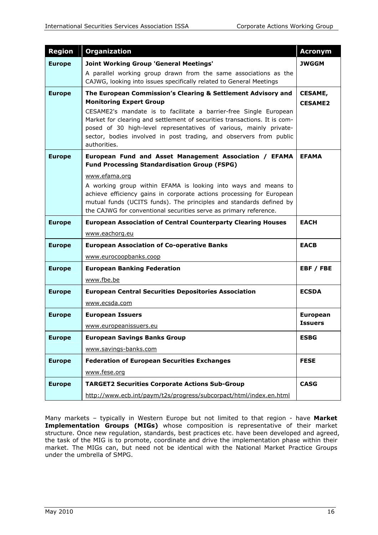| <b>Region</b> | <b>Organization</b>                                                                                                                                                                                                                                                                                                                                                                                          | <b>Acronym</b>                   |
|---------------|--------------------------------------------------------------------------------------------------------------------------------------------------------------------------------------------------------------------------------------------------------------------------------------------------------------------------------------------------------------------------------------------------------------|----------------------------------|
| <b>Europe</b> | Joint Working Group 'General Meetings'                                                                                                                                                                                                                                                                                                                                                                       | JWGGM                            |
|               | A parallel working group drawn from the same associations as the<br>CAJWG, looking into issues specifically related to General Meetings                                                                                                                                                                                                                                                                      |                                  |
| <b>Europe</b> | The European Commission's Clearing & Settlement Advisory and<br><b>Monitoring Expert Group</b><br>CESAME2's mandate is to facilitate a barrier-free Single European<br>Market for clearing and settlement of securities transactions. It is com-<br>posed of 30 high-level representatives of various, mainly private-<br>sector, bodies involved in post trading, and observers from public<br>authorities. | <b>CESAME,</b><br><b>CESAME2</b> |
| <b>Europe</b> | European Fund and Asset Management Association / EFAMA<br><b>Fund Processing Standardisation Group (FSPG)</b>                                                                                                                                                                                                                                                                                                | <b>EFAMA</b>                     |
|               | www.efama.org<br>A working group within EFAMA is looking into ways and means to<br>achieve efficiency gains in corporate actions processing for European<br>mutual funds (UCITS funds). The principles and standards defined by<br>the CAJWG for conventional securities serve as primary reference.                                                                                                         |                                  |
| <b>Europe</b> | <b>European Association of Central Counterparty Clearing Houses</b>                                                                                                                                                                                                                                                                                                                                          | <b>EACH</b>                      |
|               | www.eachorg.eu                                                                                                                                                                                                                                                                                                                                                                                               |                                  |
| <b>Europe</b> | <b>European Association of Co-operative Banks</b>                                                                                                                                                                                                                                                                                                                                                            | <b>EACB</b>                      |
|               | www.eurocoopbanks.coop                                                                                                                                                                                                                                                                                                                                                                                       |                                  |
| <b>Europe</b> | <b>European Banking Federation</b>                                                                                                                                                                                                                                                                                                                                                                           | EBF / FBE                        |
|               | www.fbe.be                                                                                                                                                                                                                                                                                                                                                                                                   |                                  |
| <b>Europe</b> | <b>European Central Securities Depositories Association</b>                                                                                                                                                                                                                                                                                                                                                  | <b>ECSDA</b>                     |
|               | www.ecsda.com                                                                                                                                                                                                                                                                                                                                                                                                |                                  |
| <b>Europe</b> | <b>European Issuers</b>                                                                                                                                                                                                                                                                                                                                                                                      | <b>European</b>                  |
|               | www.europeanissuers.eu                                                                                                                                                                                                                                                                                                                                                                                       | <b>Issuers</b>                   |
| <b>Europe</b> | <b>European Savings Banks Group</b>                                                                                                                                                                                                                                                                                                                                                                          | <b>ESBG</b>                      |
|               | www.savings-banks.com                                                                                                                                                                                                                                                                                                                                                                                        |                                  |
| <b>Europe</b> | <b>Federation of European Securities Exchanges</b>                                                                                                                                                                                                                                                                                                                                                           | <b>FESE</b>                      |
|               | www.fese.org                                                                                                                                                                                                                                                                                                                                                                                                 |                                  |
| <b>Europe</b> | <b>TARGET2 Securities Corporate Actions Sub-Group</b>                                                                                                                                                                                                                                                                                                                                                        | <b>CASG</b>                      |
|               | http://www.ecb.int/paym/t2s/progress/subcorpact/html/index.en.html                                                                                                                                                                                                                                                                                                                                           |                                  |

Many markets – typically in Western Europe but not limited to that region - have **Market Implementation Groups (MIGs)** whose composition is representative of their market structure. Once new regulation, standards, best practices etc. have been developed and agreed, the task of the MIG is to promote, coordinate and drive the implementation phase within their market. The MIGs can, but need not be identical with the National Market Practice Groups under the umbrella of SMPG.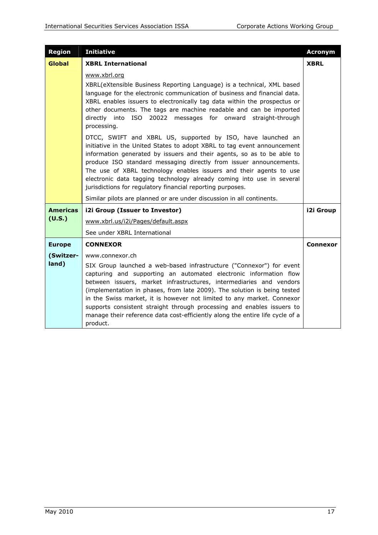| <b>Region</b>   | <b>Initiative</b>                                                                                                                                                                                                                                                                                                                                                                                                                                                                                                                             | <b>Acronym</b> |
|-----------------|-----------------------------------------------------------------------------------------------------------------------------------------------------------------------------------------------------------------------------------------------------------------------------------------------------------------------------------------------------------------------------------------------------------------------------------------------------------------------------------------------------------------------------------------------|----------------|
| <b>Global</b>   | <b>XBRL International</b>                                                                                                                                                                                                                                                                                                                                                                                                                                                                                                                     | <b>XBRL</b>    |
|                 | www.xbrl.org                                                                                                                                                                                                                                                                                                                                                                                                                                                                                                                                  |                |
|                 | XBRL(eXtensible Business Reporting Language) is a technical, XML based<br>language for the electronic communication of business and financial data.<br>XBRL enables issuers to electronically tag data within the prospectus or<br>other documents. The tags are machine readable and can be imported<br>directly into ISO 20022 messages for onward straight-through<br>processing.                                                                                                                                                          |                |
|                 | DTCC, SWIFT and XBRL US, supported by ISO, have launched an<br>initiative in the United States to adopt XBRL to tag event announcement<br>information generated by issuers and their agents, so as to be able to<br>produce ISO standard messaging directly from issuer announcements.<br>The use of XBRL technology enables issuers and their agents to use<br>electronic data tagging technology already coming into use in several<br>jurisdictions for regulatory financial reporting purposes.                                           |                |
|                 | Similar pilots are planned or are under discussion in all continents.                                                                                                                                                                                                                                                                                                                                                                                                                                                                         |                |
| <b>Americas</b> | i2i Group (Issuer to Investor)                                                                                                                                                                                                                                                                                                                                                                                                                                                                                                                | i2i Group      |
| (U.S.)          | www.xbrl.us/i2i/Pages/default.aspx                                                                                                                                                                                                                                                                                                                                                                                                                                                                                                            |                |
|                 | See under XBRL International                                                                                                                                                                                                                                                                                                                                                                                                                                                                                                                  |                |
| <b>Europe</b>   | <b>CONNEXOR</b>                                                                                                                                                                                                                                                                                                                                                                                                                                                                                                                               | Connexor       |
| (Switzer-       | www.connexor.ch                                                                                                                                                                                                                                                                                                                                                                                                                                                                                                                               |                |
| land)           | SIX Group launched a web-based infrastructure ("Connexor") for event<br>capturing and supporting an automated electronic information flow<br>between issuers, market infrastructures, intermediaries and vendors<br>(implementation in phases, from late 2009). The solution is being tested<br>in the Swiss market, it is however not limited to any market. Connexor<br>supports consistent straight through processing and enables issuers to<br>manage their reference data cost-efficiently along the entire life cycle of a<br>product. |                |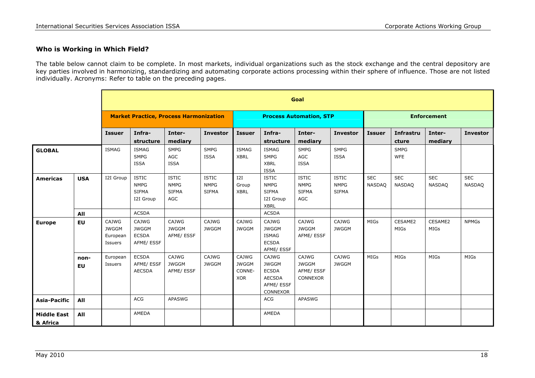#### **Who is Working in Which Field?**

The table below cannot claim to be complete. In most markets, individual organizations such as the stock exchange and the central depository are key parties involved in harmonizing, standardizing and automating corporate actions processing within their sphere of influence. Those are not listed individually. Acronyms: Refer to table on the preceding pages.

|                                |                   |                                               | Goal                                                     |                                                    |                                             |                                               |                                                                                  |                                                    |                                             |                      |                             |                      |                             |  |
|--------------------------------|-------------------|-----------------------------------------------|----------------------------------------------------------|----------------------------------------------------|---------------------------------------------|-----------------------------------------------|----------------------------------------------------------------------------------|----------------------------------------------------|---------------------------------------------|----------------------|-----------------------------|----------------------|-----------------------------|--|
|                                |                   | <b>Market Practice, Process Harmonization</b> |                                                          |                                                    |                                             |                                               | <b>Process Automation, STP</b>                                                   |                                                    |                                             |                      | <b>Enforcement</b>          |                      |                             |  |
|                                |                   | <b>Issuer</b>                                 | Infra-<br>structure                                      | Inter-<br>mediary                                  | <b>Investor</b>                             | <b>Issuer</b>                                 | Infra-<br>structure                                                              | Inter-<br>mediary                                  | <b>Investor</b>                             | <b>Issuer</b>        | <b>Infrastru</b><br>cture   | Inter-<br>mediary    | <b>Investor</b>             |  |
| <b>GLOBAL</b>                  |                   | <b>ISMAG</b>                                  | <b>ISMAG</b><br><b>SMPG</b><br>ISSA                      | <b>SMPG</b><br>AGC<br><b>ISSA</b>                  | <b>SMPG</b><br><b>ISSA</b>                  | <b>ISMAG</b><br><b>XBRL</b>                   | <b>ISMAG</b><br><b>SMPG</b><br><b>XBRL</b><br><b>ISSA</b>                        | <b>SMPG</b><br>AGC<br><b>ISSA</b>                  | <b>SMPG</b><br><b>ISSA</b>                  |                      | <b>SMPG</b><br><b>WFE</b>   |                      |                             |  |
| <b>Americas</b>                | <b>USA</b>        | I2I Group                                     | <b>ISTIC</b><br><b>NMPG</b><br><b>SIFMA</b><br>I2I Group | <b>ISTIC</b><br><b>NMPG</b><br><b>SIFMA</b><br>AGC | <b>ISTIC</b><br><b>NMPG</b><br><b>SIFMA</b> | I2I<br>Group<br><b>XBRL</b>                   | <b>ISTIC</b><br><b>NMPG</b><br><b>SIFMA</b><br>I2I Group<br><b>XBRL</b>          | <b>ISTIC</b><br><b>NMPG</b><br><b>SIFMA</b><br>AGC | <b>ISTIC</b><br><b>NMPG</b><br><b>SIFMA</b> | <b>SEC</b><br>NASDAQ | <b>SEC</b><br><b>NASDAQ</b> | <b>SEC</b><br>NASDAQ | <b>SEC</b><br><b>NASDAQ</b> |  |
|                                | All               |                                               | <b>ACSDA</b>                                             |                                                    |                                             |                                               | <b>ACSDA</b>                                                                     |                                                    |                                             |                      |                             |                      |                             |  |
| <b>Europe</b>                  | <b>EU</b>         | CAJWG<br><b>JWGGM</b><br>European<br>Issuers  | CAJWG<br><b>JWGGM</b><br><b>ECSDA</b><br>AFME/ ESSF      | CAJWG<br><b>JWGGM</b><br>AFME/ ESSF                | CAJWG<br><b>JWGGM</b>                       | CAJWG<br><b>JWGGM</b>                         | CAJWG<br><b>JWGGM</b><br><b>ISMAG</b><br><b>ECSDA</b><br>AFME/ ESSF              | CAJWG<br><b>JWGGM</b><br>AFME/ ESSF                | CAJWG<br><b>JWGGM</b>                       | MIGs                 | CESAME2<br>MIGs             | CESAME2<br>MIGs      | <b>NPMGs</b>                |  |
|                                | non-<br><b>EU</b> | European<br>Issuers                           | <b>ECSDA</b><br>AFME/ ESSF<br><b>AECSDA</b>              | CAJWG<br><b>JWGGM</b><br>AFME/ ESSF                | CAJWG<br><b>JWGGM</b>                       | CAJWG<br><b>JWGGM</b><br>CONNE-<br><b>XOR</b> | CAJWG<br><b>JWGGM</b><br><b>ECSDA</b><br><b>AECSDA</b><br>AFME/ ESSF<br>CONNEXOR | CAJWG<br><b>JWGGM</b><br>AFME/ ESSF<br>CONNEXOR    | CAJWG<br><b>JWGGM</b>                       | <b>MIGs</b>          | MIGs                        | <b>MIGs</b>          | <b>MIGs</b>                 |  |
| <b>Asia-Pacific</b>            | All               |                                               | <b>ACG</b>                                               | <b>APASWG</b>                                      |                                             |                                               | <b>ACG</b>                                                                       | <b>APASWG</b>                                      |                                             |                      |                             |                      |                             |  |
| <b>Middle East</b><br>& Africa | All               |                                               | AMEDA                                                    |                                                    |                                             |                                               | AMEDA                                                                            |                                                    |                                             |                      |                             |                      |                             |  |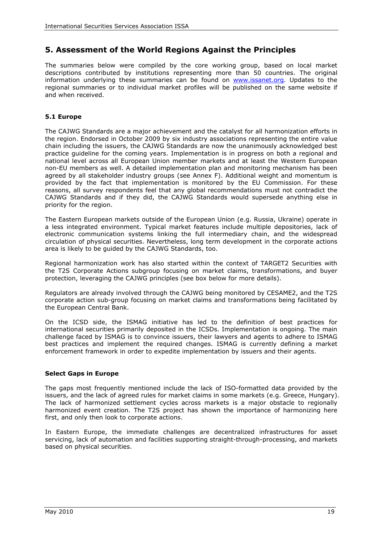## **5. Assessment of the World Regions Against the Principles**

The summaries below were compiled by the core working group, based on local market descriptions contributed by institutions representing more than 50 countries. The original information underlying these summaries can be found on [www.issanet.org.](http://www.issanet.org/) Updates to the regional summaries or to individual market profiles will be published on the same website if and when received.

#### **5.1 Europe**

The CAJWG Standards are a major achievement and the catalyst for all harmonization efforts in the region. Endorsed in October 2009 by six industry associations representing the entire value chain including the issuers, the CAJWG Standards are now the unanimously acknowledged best practice guideline for the coming years. Implementation is in progress on both a regional and national level across all European Union member markets and at least the Western European non-EU members as well. A detailed implementation plan and monitoring mechanism has been agreed by all stakeholder industry groups (see Annex F). Additional weight and momentum is provided by the fact that implementation is monitored by the EU Commission. For these reasons, all survey respondents feel that any global recommendations must not contradict the CAJWG Standards and if they did, the CAJWG Standards would supersede anything else in priority for the region.

The Eastern European markets outside of the European Union (e.g. Russia, Ukraine) operate in a less integrated environment. Typical market features include multiple depositories, lack of electronic communication systems linking the full intermediary chain, and the widespread circulation of physical securities. Nevertheless, long term development in the corporate actions area is likely to be guided by the CAJWG Standards, too.

Regional harmonization work has also started within the context of TARGET2 Securities with the T2S Corporate Actions subgroup focusing on market claims, transformations, and buyer protection, leveraging the CAJWG principles (see box below for more details).

Regulators are already involved through the CAJWG being monitored by CESAME2, and the T2S corporate action sub-group focusing on market claims and transformations being facilitated by the European Central Bank.

On the ICSD side, the ISMAG initiative has led to the definition of best practices for international securities primarily deposited in the ICSDs. Implementation is ongoing. The main challenge faced by ISMAG is to convince issuers, their lawyers and agents to adhere to ISMAG best practices and implement the required changes. ISMAG is currently defining a market enforcement framework in order to expedite implementation by issuers and their agents.

#### **Select Gaps in Europe**

The gaps most frequently mentioned include the lack of ISO-formatted data provided by the issuers, and the lack of agreed rules for market claims in some markets (e.g. Greece, Hungary). The lack of harmonized settlement cycles across markets is a major obstacle to regionally harmonized event creation. The T2S project has shown the importance of harmonizing here first, and only then look to corporate actions.

In Eastern Europe, the immediate challenges are decentralized infrastructures for asset servicing, lack of automation and facilities supporting straight-through-processing, and markets based on physical securities.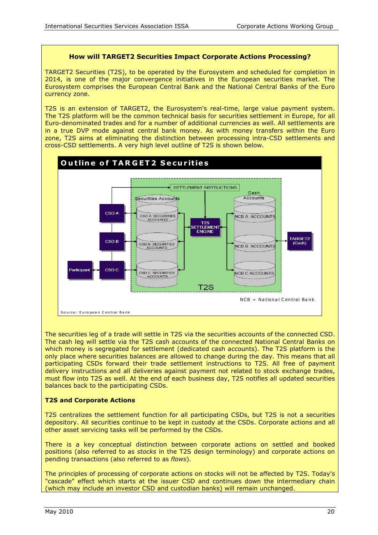#### **How will TARGET2 Securities Impact Corporate Actions Processing?**

TARGET2 Securities (T2S), to be operated by the Eurosystem and scheduled for completion in 2014, is one of the major convergence initiatives in the European securities market. The Eurosystem comprises the European Central Bank and the National Central Banks of the Euro currency zone.

T2S is an extension of TARGET2, the Eurosystem's real-time, large value payment system. The T2S platform will be the common technical basis for securities settlement in Europe, for all Euro-denominated trades and for a number of additional currencies as well. All settlements are in a true DVP mode against central bank money. As with money transfers within the Euro zone, T2S aims at eliminating the distinction between processing intra-CSD settlements and cross-CSD settlements. A very high level outline of T2S is shown below.



The securities leg of a trade will settle in T2S via the securities accounts of the connected CSD. The cash leg will settle via the T2S cash accounts of the connected National Central Banks on which money is segregated for settlement (dedicated cash accounts). The T2S platform is the only place where securities balances are allowed to change during the day. This means that all participating CSDs forward their trade settlement instructions to T2S. All free of payment delivery instructions and all deliveries against payment not related to stock exchange trades, must flow into T2S as well. At the end of each business day, T2S notifies all updated securities balances back to the participating CSDs.

#### **T2S and Corporate Actions**

T2S centralizes the settlement function for all participating CSDs, but T2S is not a securities depository. All securities continue to be kept in custody at the CSDs. Corporate actions and all other asset servicing tasks will be performed by the CSDs.

There is a key conceptual distinction between corporate actions on settled and booked positions (also referred to as *stocks* in the T2S design terminology) and corporate actions on pending transactions (also referred to as *flows*).

The principles of processing of corporate actions on stocks will not be affected by T2S. Today's "cascade" effect which starts at the issuer CSD and continues down the intermediary chain (which may include an investor CSD and custodian banks) will remain unchanged.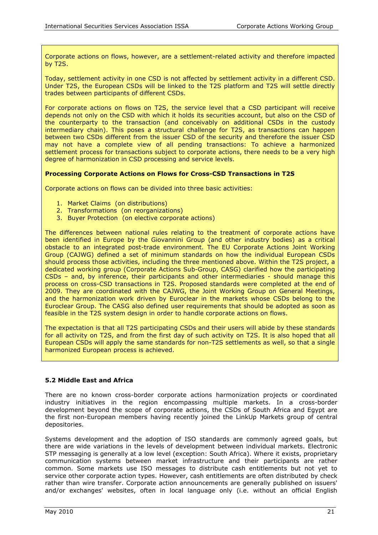Corporate actions on flows, however, are a settlement-related activity and therefore impacted by T2S.

Today, settlement activity in one CSD is not affected by settlement activity in a different CSD. Under T2S, the European CSDs will be linked to the T2S platform and T2S will settle directly trades between participants of different CSDs.

For corporate actions on flows on T2S, the service level that a CSD participant will receive depends not only on the CSD with which it holds its securities account, but also on the CSD of the counterparty to the transaction (and conceivably on additional CSDs in the custody intermediary chain). This poses a structural challenge for T2S, as transactions can happen between two CSDs different from the issuer CSD of the security and therefore the issuer CSD may not have a complete view of all pending transactions: To achieve a harmonized settlement process for transactions subject to corporate actions, there needs to be a very high degree of harmonization in CSD processing and service levels.

#### **Processing Corporate Actions on Flows for Cross-CSD Transactions in T2S**

Corporate actions on flows can be divided into three basic activities:

- 1. Market Claims (on distributions)
- 2. Transformations (on reorganizations)
- 3. Buyer Protection (on elective corporate actions)

The differences between national rules relating to the treatment of corporate actions have been identified in Europe by the Giovannini Group (and other industry bodies) as a critical obstacle to an integrated post-trade environment. The EU Corporate Actions Joint Working Group (CAJWG) defined a set of minimum standards on how the individual European CSDs should process those activities, including the three mentioned above. Within the T2S project, a dedicated working group (Corporate Actions Sub-Group, CASG) clarified how the participating CSDs – and, by inference, their participants and other intermediaries - should manage this process on cross-CSD transactions in T2S. Proposed standards were completed at the end of 2009. They are coordinated with the CAJWG, the Joint Working Group on General Meetings, and the harmonization work driven by Euroclear in the markets whose CSDs belong to the Euroclear Group. The CASG also defined user requirements that should be adopted as soon as feasible in the T2S system design in order to handle corporate actions on flows.

The expectation is that all T2S participating CSDs and their users will abide by these standards for all activity on T2S, and from the first day of such activity on T2S. It is also hoped that all European CSDs will apply the same standards for non-T2S settlements as well, so that a single harmonized European process is achieved.

#### **5.2 Middle East and Africa**

There are no known cross-border corporate actions harmonization projects or coordinated industry initiatives in the region encompassing multiple markets. In a cross-border development beyond the scope of corporate actions, the CSDs of South Africa and Egypt are the first non-European members having recently joined the LinkUp Markets group of central depositories.

Systems development and the adoption of ISO standards are commonly agreed goals, but there are wide variations in the levels of development between individual markets. Electronic STP messaging is generally at a low level (exception: South Africa). Where it exists, proprietary communication systems between market infrastructure and their participants are rather common. Some markets use ISO messages to distribute cash entitlements but not yet to service other corporate action types. However, cash entitlements are often distributed by check rather than wire transfer. Corporate action announcements are generally published on issuers' and/or exchanges' websites, often in local language only (i.e. without an official English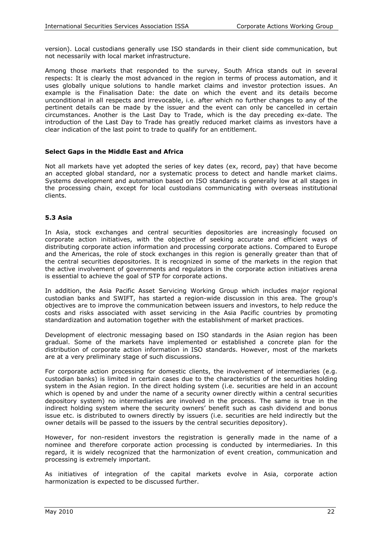version). Local custodians generally use ISO standards in their client side communication, but not necessarily with local market infrastructure.

Among those markets that responded to the survey, South Africa stands out in several respects: It is clearly the most advanced in the region in terms of process automation, and it uses globally unique solutions to handle market claims and investor protection issues. An example is the Finalisation Date: the date on which the event and its details become unconditional in all respects and irrevocable, i.e. after which no further changes to any of the pertinent details can be made by the issuer and the event can only be cancelled in certain circumstances. Another is the Last Day to Trade, which is the day preceding ex-date. The introduction of the Last Day to Trade has greatly reduced market claims as investors have a clear indication of the last point to trade to qualify for an entitlement.

#### **Select Gaps in the Middle East and Africa**

Not all markets have yet adopted the series of key dates (ex, record, pay) that have become an accepted global standard, nor a systematic process to detect and handle market claims. Systems development and automation based on ISO standards is generally low at all stages in the processing chain, except for local custodians communicating with overseas institutional clients.

#### **5.3 Asia**

In Asia, stock exchanges and central securities depositories are increasingly focused on corporate action initiatives, with the objective of seeking accurate and efficient ways of distributing corporate action information and processing corporate actions. Compared to Europe and the Americas, the role of stock exchanges in this region is generally greater than that of the central securities depositories. It is recognized in some of the markets in the region that the active involvement of governments and regulators in the corporate action initiatives arena is essential to achieve the goal of STP for corporate actions.

In addition, the Asia Pacific Asset Servicing Working Group which includes major regional custodian banks and SWIFT, has started a region-wide discussion in this area. The group's objectives are to improve the communication between issuers and investors, to help reduce the costs and risks associated with asset servicing in the Asia Pacific countries by promoting standardization and automation together with the establishment of market practices.

Development of electronic messaging based on ISO standards in the Asian region has been gradual. Some of the markets have implemented or established a concrete plan for the distribution of corporate action information in ISO standards. However, most of the markets are at a very preliminary stage of such discussions.

For corporate action processing for domestic clients, the involvement of intermediaries (e.g. custodian banks) is limited in certain cases due to the characteristics of the securities holding system in the Asian region. In the direct holding system (i.e. securities are held in an account which is opened by and under the name of a security owner directly within a central securities depository system) no intermediaries are involved in the process. The same is true in the indirect holding system where the security owners' benefit such as cash dividend and bonus issue etc. is distributed to owners directly by issuers (i.e. securities are held indirectly but the owner details will be passed to the issuers by the central securities depository).

However, for non-resident investors the registration is generally made in the name of a nominee and therefore corporate action processing is conducted by intermediaries. In this regard, it is widely recognized that the harmonization of event creation, communication and processing is extremely important.

As initiatives of integration of the capital markets evolve in Asia, corporate action harmonization is expected to be discussed further.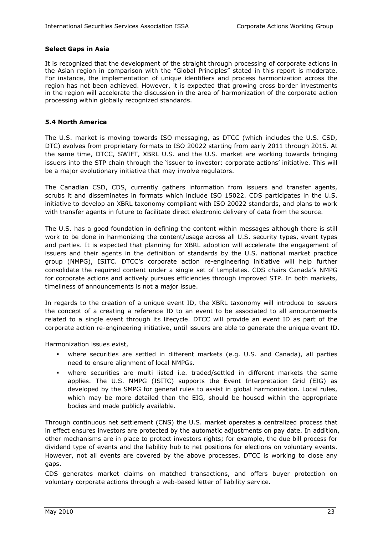#### **Select Gaps in Asia**

It is recognized that the development of the straight through processing of corporate actions in the Asian region in comparison with the "Global Principles" stated in this report is moderate. For instance, the implementation of unique identifiers and process harmonization across the region has not been achieved. However, it is expected that growing cross border investments in the region will accelerate the discussion in the area of harmonization of the corporate action processing within globally recognized standards.

#### **5.4 North America**

The U.S. market is moving towards ISO messaging, as DTCC (which includes the U.S. CSD, DTC) evolves from proprietary formats to ISO 20022 starting from early 2011 through 2015. At the same time, DTCC, SWIFT, XBRL U.S. and the U.S. market are working towards bringing issuers into the STP chain through the 'issuer to investor: corporate actions' initiative. This will be a major evolutionary initiative that may involve regulators.

The Canadian CSD, CDS, currently gathers information from issuers and transfer agents, scrubs it and disseminates in formats which include ISO 15022. CDS participates in the U.S. initiative to develop an XBRL taxonomy compliant with ISO 20022 standards, and plans to work with transfer agents in future to facilitate direct electronic delivery of data from the source.

The U.S. has a good foundation in defining the content within messages although there is still work to be done in harmonizing the content/usage across all U.S. security types, event types and parties. It is expected that planning for XBRL adoption will accelerate the engagement of issuers and their agents in the definition of standards by the U.S. national market practice group (NMPG), ISITC. DTCC's corporate action re-engineering initiative will help further consolidate the required content under a single set of templates. CDS chairs Canada's NMPG for corporate actions and actively pursues efficiencies through improved STP. In both markets, timeliness of announcements is not a major issue.

In regards to the creation of a unique event ID, the XBRL taxonomy will introduce to issuers the concept of a creating a reference ID to an event to be associated to all announcements related to a single event through its lifecycle. DTCC will provide an event ID as part of the corporate action re-engineering initiative, until issuers are able to generate the unique event ID.

Harmonization issues exist,

- where securities are settled in different markets (e.g. U.S. and Canada), all parties need to ensure alignment of local NMPGs.
- where securities are multi listed i.e. traded/settled in different markets the same applies. The U.S. NMPG (ISITC) supports the Event Interpretation Grid (EIG) as developed by the SMPG for general rules to assist in global harmonization. Local rules, which may be more detailed than the EIG, should be housed within the appropriate bodies and made publicly available.

Through continuous net settlement (CNS) the U.S. market operates a centralized process that in effect ensures investors are protected by the automatic adjustments on pay date. In addition, other mechanisms are in place to protect investors rights; for example, the due bill process for dividend type of events and the liability hub to net positions for elections on voluntary events. However, not all events are covered by the above processes. DTCC is working to close any gaps.

CDS generates market claims on matched transactions, and offers buyer protection on voluntary corporate actions through a web-based letter of liability service.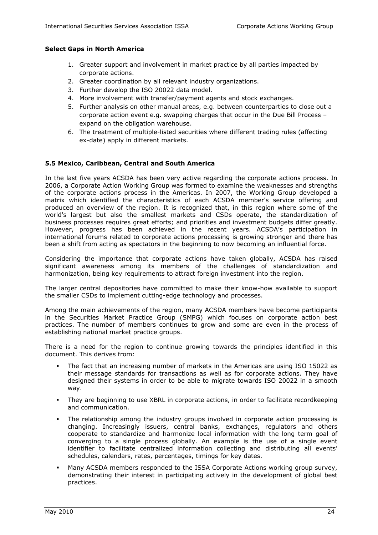#### **Select Gaps in North America**

- 1. Greater support and involvement in market practice by all parties impacted by corporate actions.
- 2. Greater coordination by all relevant industry organizations.
- 3. Further develop the ISO 20022 data model.
- 4. More involvement with transfer/payment agents and stock exchanges.
- 5. Further analysis on other manual areas, e.g. between counterparties to close out a corporate action event e.g. swapping charges that occur in the Due Bill Process – expand on the obligation warehouse.
- 6. The treatment of multiple-listed securities where different trading rules (affecting ex-date) apply in different markets.

#### **5.5 Mexico, Caribbean, Central and South America**

In the last five years ACSDA has been very active regarding the corporate actions process. In 2006, a Corporate Action Working Group was formed to examine the weaknesses and strengths of the corporate actions process in the Americas. In 2007, the Working Group developed a matrix which identified the characteristics of each ACSDA member's service offering and produced an overview of the region. It is recognized that, in this region where some of the world's largest but also the smallest markets and CSDs operate, the standardization of business processes requires great efforts; and priorities and investment budgets differ greatly. However, progress has been achieved in the recent years. ACSDA's participation in international forums related to corporate actions processing is growing stronger and there has been a shift from acting as spectators in the beginning to now becoming an influential force.

Considering the importance that corporate actions have taken globally, ACSDA has raised significant awareness among its members of the challenges of standardization and harmonization, being key requirements to attract foreign investment into the region.

The larger central depositories have committed to make their know-how available to support the smaller CSDs to implement cutting-edge technology and processes.

Among the main achievements of the region, many ACSDA members have become participants in the Securities Market Practice Group (SMPG) which focuses on corporate action best practices. The number of members continues to grow and some are even in the process of establishing national market practice groups.

There is a need for the region to continue growing towards the principles identified in this document. This derives from:

- The fact that an increasing number of markets in the Americas are using ISO 15022 as their message standards for transactions as well as for corporate actions. They have designed their systems in order to be able to migrate towards ISO 20022 in a smooth way.
- They are beginning to use XBRL in corporate actions, in order to facilitate recordkeeping and communication.
- The relationship among the industry groups involved in corporate action processing is changing. Increasingly issuers, central banks, exchanges, regulators and others cooperate to standardize and harmonize local information with the long term goal of converging to a single process globally. An example is the use of a single event identifier to facilitate centralized information collecting and distributing all events' schedules, calendars, rates, percentages, timings for key dates.
- Many ACSDA members responded to the ISSA Corporate Actions working group survey, demonstrating their interest in participating actively in the development of global best practices.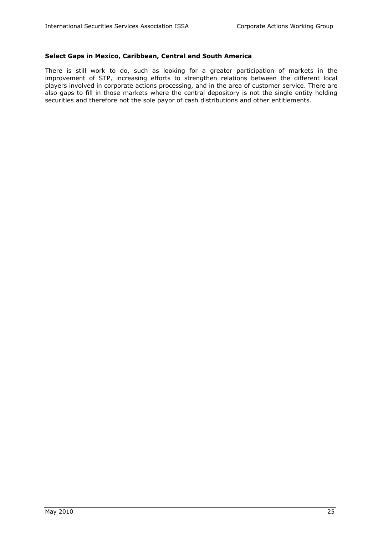#### **Select Gaps in Mexico, Caribbean, Central and South America**

There is still work to do, such as looking for a greater participation of markets in the improvement of STP, increasing efforts to strengthen relations between the different local players involved in corporate actions processing, and in the area of customer service. There are also gaps to fill in those markets where the central depository is not the single entity holding securities and therefore not the sole payor of cash distributions and other entitlements.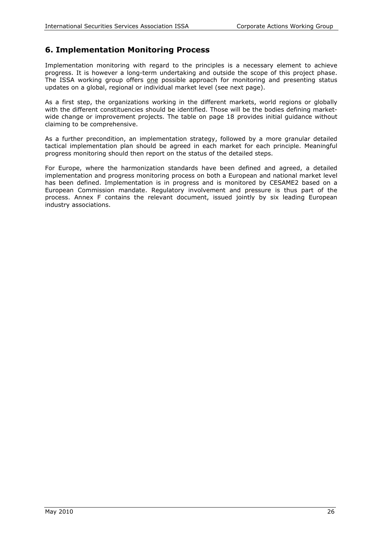## **6. Implementation Monitoring Process**

Implementation monitoring with regard to the principles is a necessary element to achieve progress. It is however a long-term undertaking and outside the scope of this project phase. The ISSA working group offers one possible approach for monitoring and presenting status updates on a global, regional or individual market level (see next page).

As a first step, the organizations working in the different markets, world regions or globally with the different constituencies should be identified. Those will be the bodies defining marketwide change or improvement projects. The table on page 18 provides initial guidance without claiming to be comprehensive.

As a further precondition, an implementation strategy, followed by a more granular detailed tactical implementation plan should be agreed in each market for each principle. Meaningful progress monitoring should then report on the status of the detailed steps.

For Europe, where the harmonization standards have been defined and agreed, a detailed implementation and progress monitoring process on both a European and national market level has been defined. Implementation is in progress and is monitored by CESAME2 based on a European Commission mandate. Regulatory involvement and pressure is thus part of the process. Annex F contains the relevant document, issued jointly by six leading European industry associations.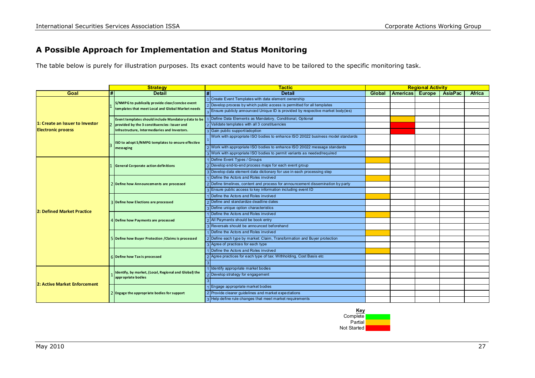## **A Possible Approach for Implementation and Status Monitoring**

The table below is purely for illustration purposes. Its exact contents would have to be tailored to the specific monitoring task.

|                                 |   | <b>Strategy</b>                                                             |   | <b>Tactic</b>                                                                   | <b>Regional Activity</b> |                 |        |                |               |
|---------------------------------|---|-----------------------------------------------------------------------------|---|---------------------------------------------------------------------------------|--------------------------|-----------------|--------|----------------|---------------|
| Goal                            | # | <b>Detail</b>                                                               | # | <b>Detail</b>                                                                   | Global                   | <b>Americas</b> | Europe | <b>AsiaPac</b> | <b>Africa</b> |
|                                 |   |                                                                             |   | 1 Create Event Templates with data element ownership                            |                          |                 |        |                |               |
|                                 |   | S/NMPG to publically provide clear/concise event                            |   | 2 Develop process by which public access is permitted for all templates         |                          |                 |        |                |               |
|                                 |   | templates that meet Local and Global Market needs                           |   | Ensure publicly announced Unique ID is provided by respective market body(ies)  |                          |                 |        |                |               |
|                                 |   | Event templates should include Mandatory data to be                         |   | 1 Define Data Elements as Mandatory, Conditional, Optional                      |                          |                 |        |                |               |
| 1: Create an Issuer to Investor |   | provided by the 3 constituencies: Issuer and                                |   | 2 Validate templates with all 3 constituencies                                  |                          |                 |        |                |               |
| <b>Electronic process</b>       |   | Infrastructure, Intermediaries and Investors.                               |   | 3 Gain public support/adoption                                                  |                          |                 |        |                |               |
|                                 |   | ISO to adopt S/NMPG templates to ensure effective                           |   | Work with appropriate ISO bodies to enhance ISO 20022 business model standards  |                          |                 |        |                |               |
|                                 |   | messaging                                                                   |   | 2 Work with appropriate ISO bodies to enhance ISO 20022 message standards       |                          |                 |        |                |               |
|                                 |   |                                                                             |   | 3 Work with appropriate ISO bodies to permit variants as needed/required        |                          |                 |        |                |               |
|                                 |   |                                                                             |   | 1 Define Event Types / Groups                                                   |                          |                 |        |                |               |
|                                 |   | <b>General Corporate action definitions</b>                                 |   | 2 Develop end-to-end process maps for each event group                          |                          |                 |        |                |               |
|                                 |   |                                                                             |   | 3 Develop data element data dictionary for use in each processing step          |                          |                 |        |                |               |
|                                 |   | Define how Announcements are processed                                      |   | 1 Define the Actors and Roles involved                                          |                          |                 |        |                |               |
|                                 |   |                                                                             |   | 2 Define timelines, content and process for announcement dissemination by party |                          |                 |        |                |               |
|                                 |   |                                                                             |   | 3 Ensure public access to key information including event ID                    |                          |                 |        |                |               |
|                                 |   |                                                                             |   | I Define the Actors and Roles involved                                          |                          |                 |        |                |               |
|                                 |   | Define how Elections are processed                                          |   | 2 Define and standardize deadline dates                                         |                          |                 |        |                |               |
| 2: Defined Market Practice      |   |                                                                             |   | 3 Define unique option characteristics                                          |                          |                 |        |                |               |
|                                 |   | Define how Payments are processed                                           |   | 1 Define the Actors and Roles involved                                          |                          |                 |        |                |               |
|                                 |   |                                                                             |   | 2 All Payments should be book entry                                             |                          |                 |        |                |               |
|                                 |   |                                                                             |   | 3 Reversals should be announced beforehand                                      |                          |                 |        |                |               |
|                                 |   |                                                                             |   | 1 Define the Actors and Roles involved                                          |                          |                 |        |                |               |
|                                 |   | Define how Buyer Protection / Claims is processed                           |   | 2 Define each type by market: Claim, Transformation and Buyer protection        |                          |                 |        |                |               |
|                                 |   |                                                                             |   | 3 Agree of practices for each type                                              |                          |                 |        |                |               |
|                                 |   |                                                                             |   | 1 Define the Actors and Roles involved                                          |                          |                 |        |                |               |
|                                 |   | 6 Define how Tax is processed                                               |   | 2 Agree practices for each type of tax: Withholding, Cost Basis etc             |                          |                 |        |                |               |
|                                 |   |                                                                             |   |                                                                                 |                          |                 |        |                |               |
|                                 |   |                                                                             |   | 1 Identify appropriate market bodies                                            |                          |                 |        |                |               |
|                                 |   | Identify, by market, (Local, Regional and Global) the<br>appropriate bodies |   | 2 Develop strategy for engagement                                               |                          |                 |        |                |               |
| 2: Active Market Enforcement    |   |                                                                             |   |                                                                                 |                          |                 |        |                |               |
|                                 |   |                                                                             |   | 1 Engage appropriate market bodies                                              |                          |                 |        |                |               |
|                                 |   | 2 Engage the appropriate bodies for support                                 |   | 2 Provide clearer guidelines and market expectations                            |                          |                 |        |                |               |
|                                 |   |                                                                             |   | 3 Help define rule changes that meet market requirements                        |                          |                 |        |                |               |

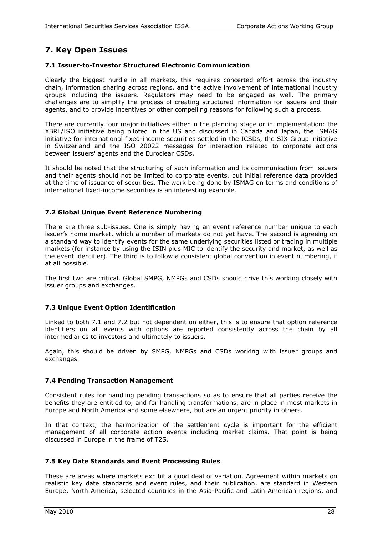## **7. Key Open Issues**

#### **7.1 Issuer-to-Investor Structured Electronic Communication**

Clearly the biggest hurdle in all markets, this requires concerted effort across the industry chain, information sharing across regions, and the active involvement of international industry groups including the issuers. Regulators may need to be engaged as well. The primary challenges are to simplify the process of creating structured information for issuers and their agents, and to provide incentives or other compelling reasons for following such a process.

There are currently four major initiatives either in the planning stage or in implementation: the XBRL/ISO initiative being piloted in the US and discussed in Canada and Japan, the ISMAG initiative for international fixed-income securities settled in the ICSDs, the SIX Group initiative in Switzerland and the ISO 20022 messages for interaction related to corporate actions between issuers' agents and the Euroclear CSDs.

It should be noted that the structuring of such information and its communication from issuers and their agents should not be limited to corporate events, but initial reference data provided at the time of issuance of securities. The work being done by ISMAG on terms and conditions of international fixed-income securities is an interesting example.

#### **7.2 Global Unique Event Reference Numbering**

There are three sub-issues. One is simply having an event reference number unique to each issuer's home market, which a number of markets do not yet have. The second is agreeing on a standard way to identify events for the same underlying securities listed or trading in multiple markets (for instance by using the ISIN plus MIC to identify the security and market, as well as the event identifier). The third is to follow a consistent global convention in event numbering, if at all possible.

The first two are critical. Global SMPG, NMPGs and CSDs should drive this working closely with issuer groups and exchanges.

#### **7.3 Unique Event Option Identification**

Linked to both 7.1 and 7.2 but not dependent on either, this is to ensure that option reference identifiers on all events with options are reported consistently across the chain by all intermediaries to investors and ultimately to issuers.

Again, this should be driven by SMPG, NMPGs and CSDs working with issuer groups and exchanges.

#### **7.4 Pending Transaction Management**

Consistent rules for handling pending transactions so as to ensure that all parties receive the benefits they are entitled to, and for handling transformations, are in place in most markets in Europe and North America and some elsewhere, but are an urgent priority in others.

In that context, the harmonization of the settlement cycle is important for the efficient management of all corporate action events including market claims. That point is being discussed in Europe in the frame of T2S.

#### **7.5 Key Date Standards and Event Processing Rules**

These are areas where markets exhibit a good deal of variation. Agreement within markets on realistic key date standards and event rules, and their publication, are standard in Western Europe, North America, selected countries in the Asia-Pacific and Latin American regions, and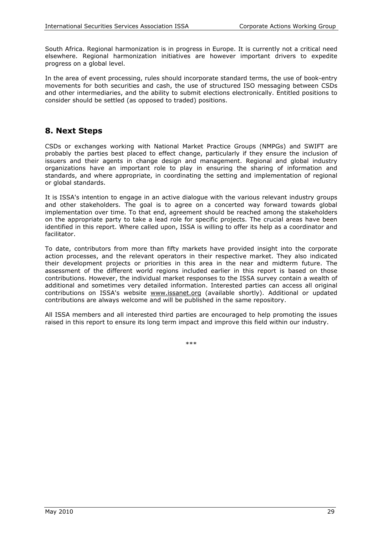South Africa. Regional harmonization is in progress in Europe. It is currently not a critical need elsewhere. Regional harmonization initiatives are however important drivers to expedite progress on a global level.

In the area of event processing, rules should incorporate standard terms, the use of book-entry movements for both securities and cash, the use of structured ISO messaging between CSDs and other intermediaries, and the ability to submit elections electronically. Entitled positions to consider should be settled (as opposed to traded) positions.

## **8. Next Steps**

CSDs or exchanges working with National Market Practice Groups (NMPGs) and SWIFT are probably the parties best placed to effect change, particularly if they ensure the inclusion of issuers and their agents in change design and management. Regional and global industry organizations have an important role to play in ensuring the sharing of information and standards, and where appropriate, in coordinating the setting and implementation of regional or global standards.

It is ISSA's intention to engage in an active dialogue with the various relevant industry groups and other stakeholders. The goal is to agree on a concerted way forward towards global implementation over time. To that end, agreement should be reached among the stakeholders on the appropriate party to take a lead role for specific projects. The crucial areas have been identified in this report. Where called upon, ISSA is willing to offer its help as a coordinator and facilitator.

To date, contributors from more than fifty markets have provided insight into the corporate action processes, and the relevant operators in their respective market. They also indicated their development projects or priorities in this area in the near and midterm future. The assessment of the different world regions included earlier in this report is based on those contributions. However, the individual market responses to the ISSA survey contain a wealth of additional and sometimes very detailed information. Interested parties can access all original contributions on ISSA's website [www.issanet.org](http://www.issanet.org/) (available shortly). Additional or updated contributions are always welcome and will be published in the same repository.

All ISSA members and all interested third parties are encouraged to help promoting the issues raised in this report to ensure its long term impact and improve this field within our industry.

\*\*\*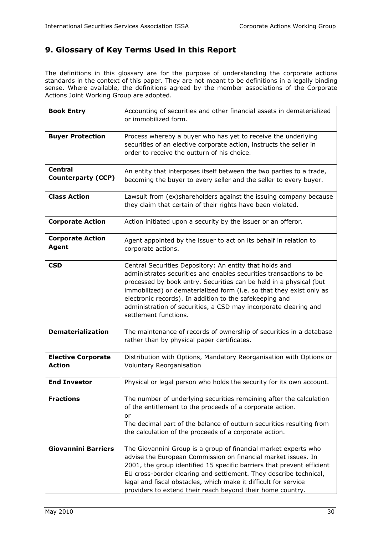## **9. Glossary of Key Terms Used in this Report**

The definitions in this glossary are for the purpose of understanding the corporate actions standards in the context of this paper. They are not meant to be definitions in a legally binding sense. Where available, the definitions agreed by the member associations of the Corporate Actions Joint Working Group are adopted.

| <b>Book Entry</b>                           | Accounting of securities and other financial assets in dematerialized<br>or immobilized form.                                                                                                                                                                                                                                                                                                                                       |
|---------------------------------------------|-------------------------------------------------------------------------------------------------------------------------------------------------------------------------------------------------------------------------------------------------------------------------------------------------------------------------------------------------------------------------------------------------------------------------------------|
| <b>Buyer Protection</b>                     | Process whereby a buyer who has yet to receive the underlying<br>securities of an elective corporate action, instructs the seller in<br>order to receive the outturn of his choice.                                                                                                                                                                                                                                                 |
| <b>Central</b><br><b>Counterparty (CCP)</b> | An entity that interposes itself between the two parties to a trade,<br>becoming the buyer to every seller and the seller to every buyer.                                                                                                                                                                                                                                                                                           |
| <b>Class Action</b>                         | Lawsuit from (ex)shareholders against the issuing company because<br>they claim that certain of their rights have been violated.                                                                                                                                                                                                                                                                                                    |
| <b>Corporate Action</b>                     | Action initiated upon a security by the issuer or an offeror.                                                                                                                                                                                                                                                                                                                                                                       |
| <b>Corporate Action</b><br><b>Agent</b>     | Agent appointed by the issuer to act on its behalf in relation to<br>corporate actions.                                                                                                                                                                                                                                                                                                                                             |
| <b>CSD</b>                                  | Central Securities Depository: An entity that holds and<br>administrates securities and enables securities transactions to be<br>processed by book entry. Securities can be held in a physical (but<br>immobilized) or dematerialized form (i.e. so that they exist only as<br>electronic records). In addition to the safekeeping and<br>administration of securities, a CSD may incorporate clearing and<br>settlement functions. |
| <b>Dematerialization</b>                    | The maintenance of records of ownership of securities in a database<br>rather than by physical paper certificates.                                                                                                                                                                                                                                                                                                                  |
| <b>Elective Corporate</b><br><b>Action</b>  | Distribution with Options, Mandatory Reorganisation with Options or<br>Voluntary Reorganisation                                                                                                                                                                                                                                                                                                                                     |
| <b>End Investor</b>                         | Physical or legal person who holds the security for its own account.                                                                                                                                                                                                                                                                                                                                                                |
| <b>Fractions</b>                            | The number of underlying securities remaining after the calculation<br>of the entitlement to the proceeds of a corporate action.<br>or<br>The decimal part of the balance of outturn securities resulting from<br>the calculation of the proceeds of a corporate action.                                                                                                                                                            |
| <b>Giovannini Barriers</b>                  | The Giovannini Group is a group of financial market experts who<br>advise the European Commission on financial market issues. In<br>2001, the group identified 15 specific barriers that prevent efficient<br>EU cross-border clearing and settlement. They describe technical,<br>legal and fiscal obstacles, which make it difficult for service<br>providers to extend their reach beyond their home country.                    |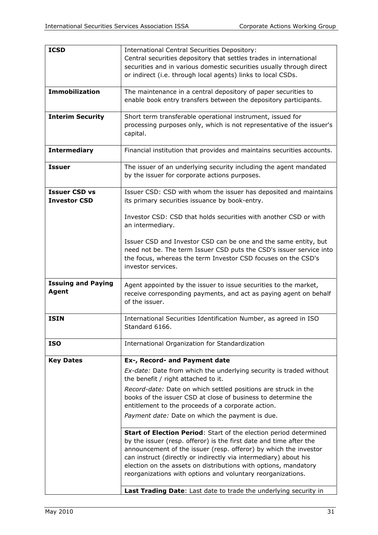| <b>ICSD</b>                                 | <b>International Central Securities Depository:</b><br>Central securities depository that settles trades in international<br>securities and in various domestic securities usually through direct<br>or indirect (i.e. through local agents) links to local CSDs.                                                                                                                                                 |
|---------------------------------------------|-------------------------------------------------------------------------------------------------------------------------------------------------------------------------------------------------------------------------------------------------------------------------------------------------------------------------------------------------------------------------------------------------------------------|
| <b>Immobilization</b>                       | The maintenance in a central depository of paper securities to<br>enable book entry transfers between the depository participants.                                                                                                                                                                                                                                                                                |
| <b>Interim Security</b>                     | Short term transferable operational instrument, issued for<br>processing purposes only, which is not representative of the issuer's<br>capital.                                                                                                                                                                                                                                                                   |
| <b>Intermediary</b>                         | Financial institution that provides and maintains securities accounts.                                                                                                                                                                                                                                                                                                                                            |
| <b>Issuer</b>                               | The issuer of an underlying security including the agent mandated<br>by the issuer for corporate actions purposes.                                                                                                                                                                                                                                                                                                |
| <b>Issuer CSD vs</b><br><b>Investor CSD</b> | Issuer CSD: CSD with whom the issuer has deposited and maintains<br>its primary securities issuance by book-entry.                                                                                                                                                                                                                                                                                                |
|                                             | Investor CSD: CSD that holds securities with another CSD or with<br>an intermediary.                                                                                                                                                                                                                                                                                                                              |
|                                             | Issuer CSD and Investor CSD can be one and the same entity, but<br>need not be. The term Issuer CSD puts the CSD's issuer service into<br>the focus, whereas the term Investor CSD focuses on the CSD's<br>investor services.                                                                                                                                                                                     |
| <b>Issuing and Paying</b><br>Agent          | Agent appointed by the issuer to issue securities to the market,<br>receive corresponding payments, and act as paying agent on behalf<br>of the issuer.                                                                                                                                                                                                                                                           |
| <b>ISIN</b>                                 | International Securities Identification Number, as agreed in ISO<br>Standard 6166.                                                                                                                                                                                                                                                                                                                                |
| <b>ISO</b>                                  | International Organization for Standardization                                                                                                                                                                                                                                                                                                                                                                    |
| <b>Key Dates</b>                            | Ex-, Record- and Payment date                                                                                                                                                                                                                                                                                                                                                                                     |
|                                             | Ex-date: Date from which the underlying security is traded without<br>the benefit / right attached to it.                                                                                                                                                                                                                                                                                                         |
|                                             | Record-date: Date on which settled positions are struck in the<br>books of the issuer CSD at close of business to determine the<br>entitlement to the proceeds of a corporate action.                                                                                                                                                                                                                             |
|                                             | Payment date: Date on which the payment is due.                                                                                                                                                                                                                                                                                                                                                                   |
|                                             | Start of Election Period: Start of the election period determined<br>by the issuer (resp. offeror) is the first date and time after the<br>announcement of the issuer (resp. offeror) by which the investor<br>can instruct (directly or indirectly via intermediary) about his<br>election on the assets on distributions with options, mandatory<br>reorganizations with options and voluntary reorganizations. |
|                                             | Last Trading Date: Last date to trade the underlying security in                                                                                                                                                                                                                                                                                                                                                  |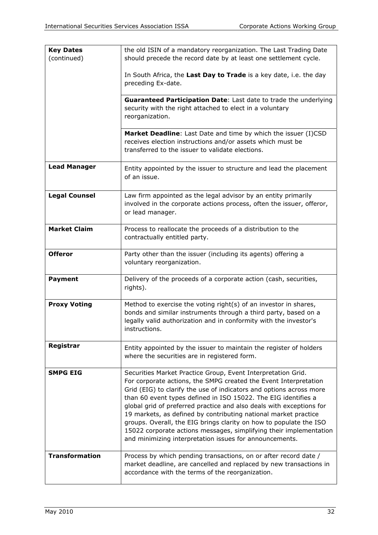| <b>Key Dates</b><br>(continued) | the old ISIN of a mandatory reorganization. The Last Trading Date<br>should precede the record date by at least one settlement cycle.                                                                                                                                                                                                                                                                                                                                                                                                                                                                                       |
|---------------------------------|-----------------------------------------------------------------------------------------------------------------------------------------------------------------------------------------------------------------------------------------------------------------------------------------------------------------------------------------------------------------------------------------------------------------------------------------------------------------------------------------------------------------------------------------------------------------------------------------------------------------------------|
|                                 | In South Africa, the Last Day to Trade is a key date, i.e. the day<br>preceding Ex-date.                                                                                                                                                                                                                                                                                                                                                                                                                                                                                                                                    |
|                                 | Guaranteed Participation Date: Last date to trade the underlying<br>security with the right attached to elect in a voluntary<br>reorganization.                                                                                                                                                                                                                                                                                                                                                                                                                                                                             |
|                                 | Market Deadline: Last Date and time by which the issuer (I)CSD<br>receives election instructions and/or assets which must be<br>transferred to the issuer to validate elections.                                                                                                                                                                                                                                                                                                                                                                                                                                            |
| <b>Lead Manager</b>             | Entity appointed by the issuer to structure and lead the placement<br>of an issue.                                                                                                                                                                                                                                                                                                                                                                                                                                                                                                                                          |
| <b>Legal Counsel</b>            | Law firm appointed as the legal advisor by an entity primarily<br>involved in the corporate actions process, often the issuer, offeror,<br>or lead manager.                                                                                                                                                                                                                                                                                                                                                                                                                                                                 |
| <b>Market Claim</b>             | Process to reallocate the proceeds of a distribution to the<br>contractually entitled party.                                                                                                                                                                                                                                                                                                                                                                                                                                                                                                                                |
| <b>Offeror</b>                  | Party other than the issuer (including its agents) offering a<br>voluntary reorganization.                                                                                                                                                                                                                                                                                                                                                                                                                                                                                                                                  |
| <b>Payment</b>                  | Delivery of the proceeds of a corporate action (cash, securities,<br>rights).                                                                                                                                                                                                                                                                                                                                                                                                                                                                                                                                               |
| <b>Proxy Voting</b>             | Method to exercise the voting right(s) of an investor in shares,<br>bonds and similar instruments through a third party, based on a<br>legally valid authorization and in conformity with the investor's<br>instructions.                                                                                                                                                                                                                                                                                                                                                                                                   |
| Registrar                       | Entity appointed by the issuer to maintain the register of holders<br>where the securities are in registered form.                                                                                                                                                                                                                                                                                                                                                                                                                                                                                                          |
| <b>SMPG EIG</b>                 | Securities Market Practice Group, Event Interpretation Grid.<br>For corporate actions, the SMPG created the Event Interpretation<br>Grid (EIG) to clarify the use of indicators and options across more<br>than 60 event types defined in ISO 15022. The EIG identifies a<br>global grid of preferred practice and also deals with exceptions for<br>19 markets, as defined by contributing national market practice<br>groups. Overall, the EIG brings clarity on how to populate the ISO<br>15022 corporate actions messages, simplifying their implementation<br>and minimizing interpretation issues for announcements. |
| <b>Transformation</b>           | Process by which pending transactions, on or after record date /<br>market deadline, are cancelled and replaced by new transactions in<br>accordance with the terms of the reorganization.                                                                                                                                                                                                                                                                                                                                                                                                                                  |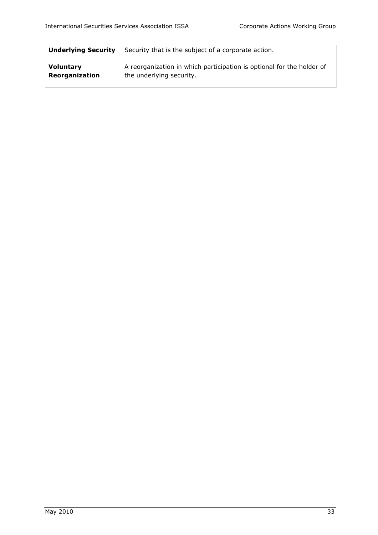| Security that is the subject of a corporate action.<br><b>Underlying Security</b> |                                                                       |  |  |  |
|-----------------------------------------------------------------------------------|-----------------------------------------------------------------------|--|--|--|
| <b>Voluntary</b>                                                                  | A reorganization in which participation is optional for the holder of |  |  |  |
| Reorganization                                                                    | the underlying security.                                              |  |  |  |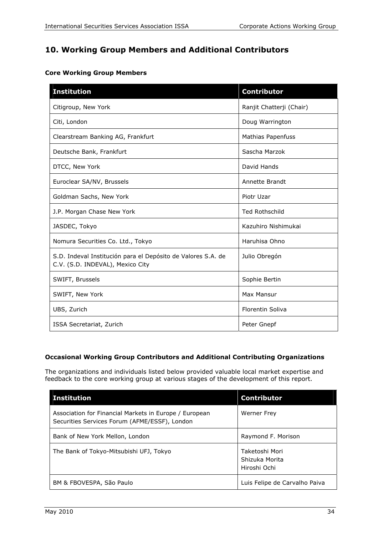## **10. Working Group Members and Additional Contributors**

| <b>Institution</b>                                                                               | <b>Contributor</b>       |
|--------------------------------------------------------------------------------------------------|--------------------------|
| Citigroup, New York                                                                              | Ranjit Chatterji (Chair) |
| Citi, London                                                                                     | Doug Warrington          |
| Clearstream Banking AG, Frankfurt                                                                | <b>Mathias Papenfuss</b> |
| Deutsche Bank, Frankfurt                                                                         | Sascha Marzok            |
| DTCC, New York                                                                                   | David Hands              |
| Euroclear SA/NV, Brussels                                                                        | Annette Brandt           |
| Goldman Sachs, New York                                                                          | Piotr Uzar               |
| J.P. Morgan Chase New York                                                                       | <b>Ted Rothschild</b>    |
| JASDEC, Tokyo                                                                                    | Kazuhiro Nishimukai      |
| Nomura Securities Co. Ltd., Tokyo                                                                | Haruhisa Ohno            |
| S.D. Indeval Institución para el Depósito de Valores S.A. de<br>C.V. (S.D. INDEVAL), Mexico City | Julio Obregón            |
| SWIFT, Brussels                                                                                  | Sophie Bertin            |
| SWIFT, New York                                                                                  | Max Mansur               |
| UBS, Zurich                                                                                      | <b>Florentin Soliva</b>  |
| ISSA Secretariat, Zurich                                                                         | Peter Gnepf              |

#### **Occasional Working Group Contributors and Additional Contributing Organizations**

The organizations and individuals listed below provided valuable local market expertise and feedback to the core working group at various stages of the development of this report.

| <b>Institution</b>                                                                                      | <b>Contributor</b>                               |
|---------------------------------------------------------------------------------------------------------|--------------------------------------------------|
| Association for Financial Markets in Europe / European<br>Securities Services Forum (AFME/ESSF), London | <b>Werner Frey</b>                               |
| Bank of New York Mellon, London                                                                         | Raymond F. Morison                               |
| The Bank of Tokyo-Mitsubishi UFJ, Tokyo                                                                 | Taketoshi Mori<br>Shizuka Morita<br>Hiroshi Ochi |
| BM & FBOVESPA, São Paulo                                                                                | Luis Felipe de Carvalho Paiva                    |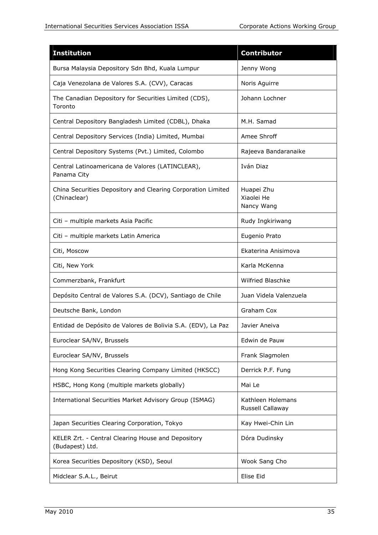| <b>Institution</b>                                                           | <b>Contributor</b>                     |
|------------------------------------------------------------------------------|----------------------------------------|
| Bursa Malaysia Depository Sdn Bhd, Kuala Lumpur                              | Jenny Wong                             |
| Caja Venezolana de Valores S.A. (CVV), Caracas                               | Noris Aguirre                          |
| The Canadian Depository for Securities Limited (CDS),<br>Toronto             | Johann Lochner                         |
| Central Depository Bangladesh Limited (CDBL), Dhaka                          | M.H. Samad                             |
| Central Depository Services (India) Limited, Mumbai                          | Amee Shroff                            |
| Central Depository Systems (Pvt.) Limited, Colombo                           | Rajeeva Bandaranaike                   |
| Central Latinoamericana de Valores (LATINCLEAR),<br>Panama City              | Iván Diaz                              |
| China Securities Depository and Clearing Corporation Limited<br>(Chinaclear) | Huapei Zhu<br>Xiaolei He<br>Nancy Wang |
| Citi - multiple markets Asia Pacific                                         | Rudy Ingkiriwang                       |
| Citi - multiple markets Latin America                                        | Eugenio Prato                          |
| Citi, Moscow                                                                 | Ekaterina Anisimova                    |
| Citi, New York                                                               | Karla McKenna                          |
| Commerzbank, Frankfurt                                                       | <b>Wilfried Blaschke</b>               |
| Depósito Central de Valores S.A. (DCV), Santiago de Chile                    | Juan Videla Valenzuela                 |
| Deutsche Bank, London                                                        | Graham Cox                             |
| Entidad de Depósito de Valores de Bolivia S.A. (EDV), La Paz                 | Javier Aneiva                          |
| Euroclear SA/NV, Brussels                                                    | Edwin de Pauw                          |
| Euroclear SA/NV, Brussels                                                    | Frank Slagmolen                        |
| Hong Kong Securities Clearing Company Limited (HKSCC)                        | Derrick P.F. Fung                      |
| HSBC, Hong Kong (multiple markets globally)                                  | Mai Le                                 |
| International Securities Market Advisory Group (ISMAG)                       | Kathleen Holemans<br>Russell Callaway  |
| Japan Securities Clearing Corporation, Tokyo                                 | Kay Hwei-Chin Lin                      |
| KELER Zrt. - Central Clearing House and Depository<br>(Budapest) Ltd.        | Dóra Dudinsky                          |
| Korea Securities Depository (KSD), Seoul                                     | Wook Sang Cho                          |
| Midclear S.A.L., Beirut                                                      | Elise Eid                              |